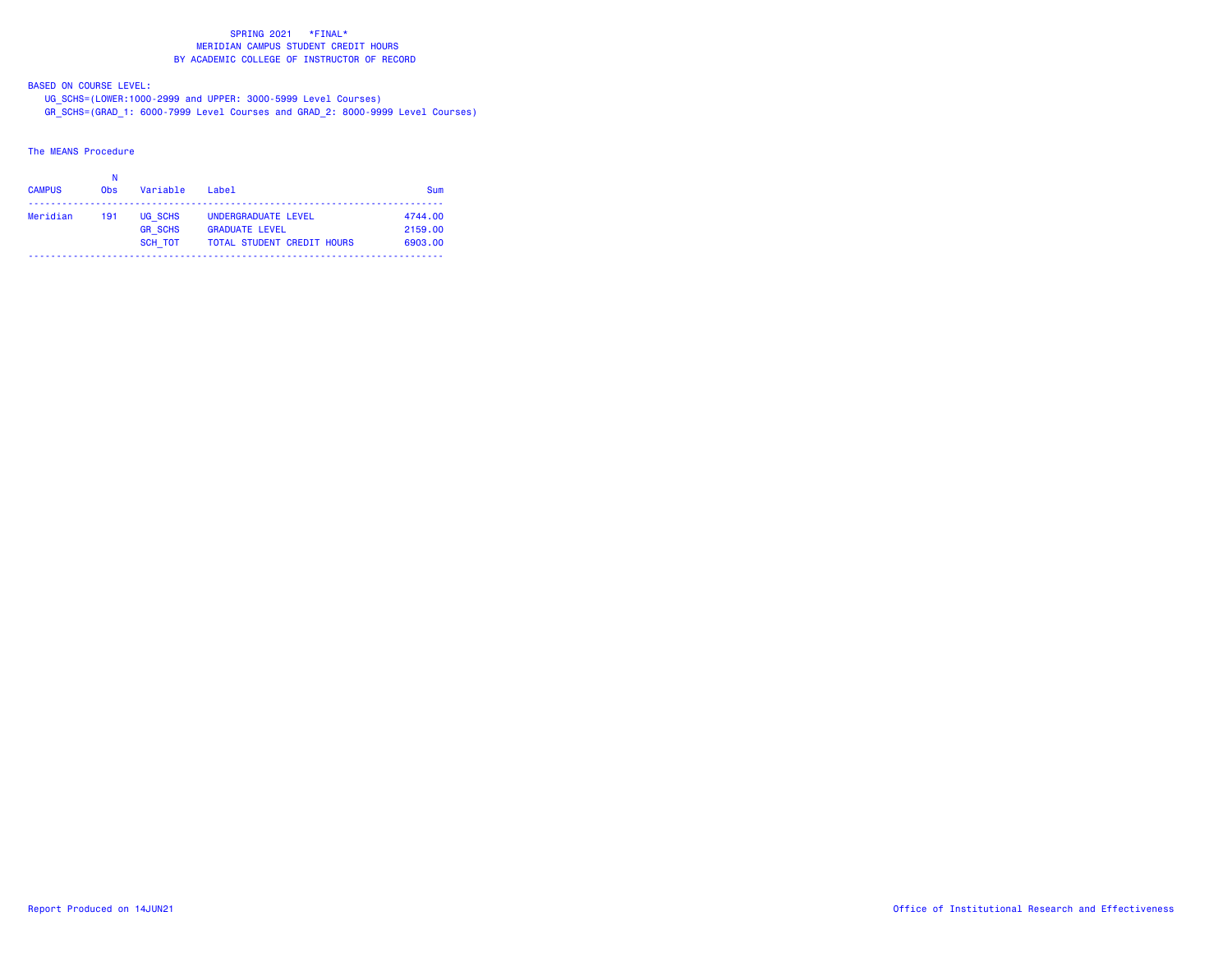BASED ON COURSE LEVEL:

 UG\_SCHS=(LOWER:1000-2999 and UPPER: 3000-5999 Level Courses) GR\_SCHS=(GRAD\_1: 6000-7999 Level Courses and GRAD\_2: 8000-9999 Level Courses)

The MEANS Procedure

| <b>CAMPUS</b> | <b>Obs</b> | Variable                             | $I$ ahe $I$                                                                       | Sum                           |
|---------------|------------|--------------------------------------|-----------------------------------------------------------------------------------|-------------------------------|
| Meridian      | 191        | UG SCHS<br><b>GR SCHS</b><br>SCH TOT | UNDERGRADUATE LEVEL<br><b>GRADUATE LEVEL</b><br><b>TOTAL STUDENT CREDIT HOURS</b> | 4744.00<br>2159.00<br>6903.00 |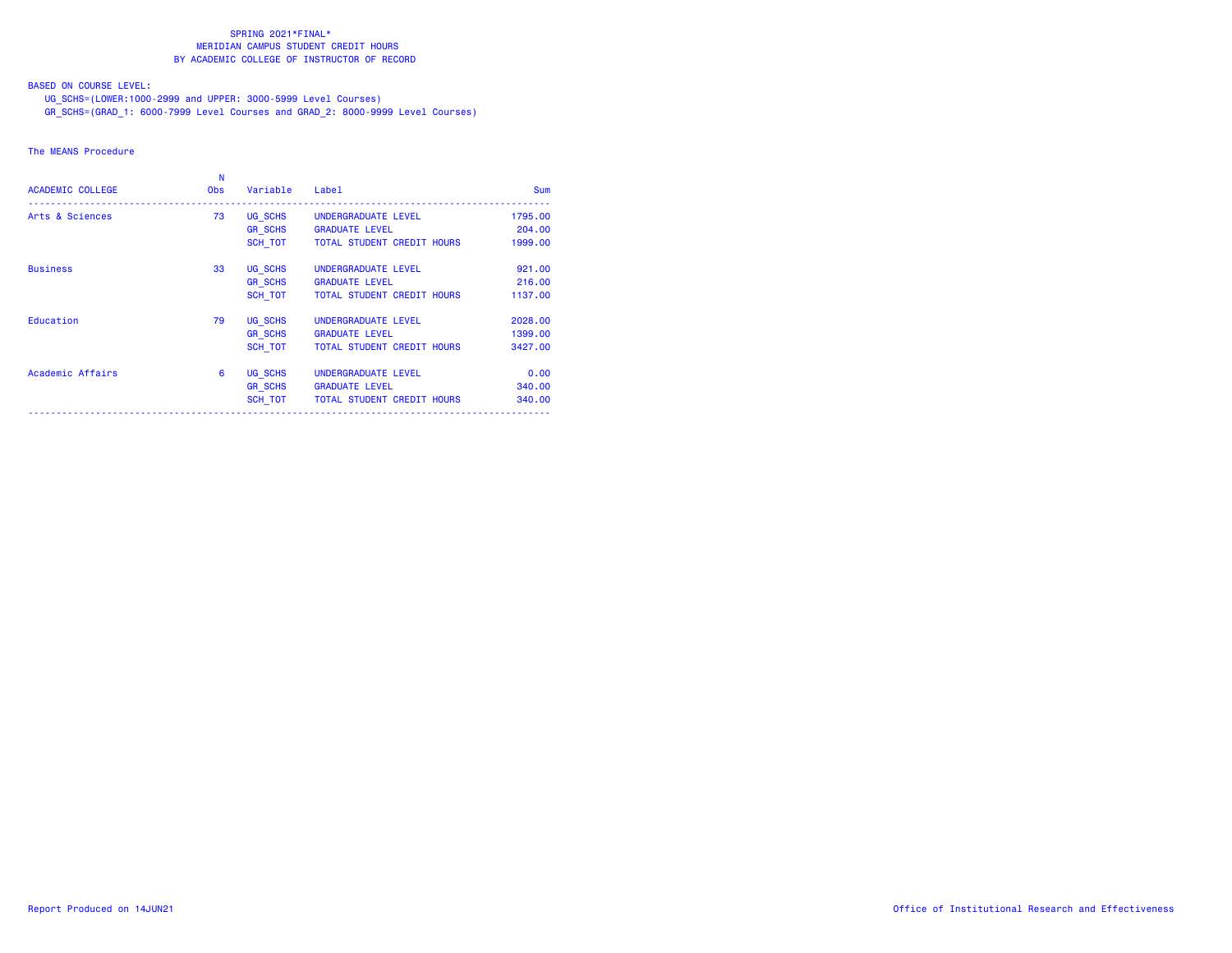BASED ON COURSE LEVEL:

UG\_SCHS=(LOWER:1000-2999 and UPPER: 3000-5999 Level Courses)

GR\_SCHS=(GRAD\_1: 6000-7999 Level Courses and GRAD\_2: 8000-9999 Level Courses)

### The MEANS Procedure

| <b>ACADEMIC COLLEGE</b> | N<br><b>Obs</b> | Variable       | Label                             | <b>Sum</b> |
|-------------------------|-----------------|----------------|-----------------------------------|------------|
| Arts & Sciences         | 73              | UG SCHS        | UNDERGRADUATE LEVEL               | 1795.00    |
|                         |                 | <b>GR SCHS</b> | <b>GRADUATE LEVEL</b>             | 204,00     |
|                         |                 | SCH TOT        | <b>TOTAL STUDENT CREDIT HOURS</b> | 1999.00    |
| <b>Business</b>         | 33              | UG SCHS        | UNDERGRADUATE LEVEL               | 921,00     |
|                         |                 | <b>GR SCHS</b> | <b>GRADUATE LEVEL</b>             | 216,00     |
|                         |                 | SCH TOT        | <b>TOTAL STUDENT CREDIT HOURS</b> | 1137.00    |
| Education               | 79              | UG SCHS        | UNDERGRADUATE LEVEL               | 2028.00    |
|                         |                 | <b>GR SCHS</b> | <b>GRADUATE LEVEL</b>             | 1399.00    |
|                         |                 | SCH TOT        | <b>TOTAL STUDENT CREDIT HOURS</b> | 3427,00    |
| Academic Affairs        | 6               | UG SCHS        | UNDERGRADUATE LEVEL               | 0.00       |
|                         |                 | <b>GR SCHS</b> | <b>GRADUATE LEVEL</b>             | 340,00     |
|                         |                 | SCH TOT        | TOTAL STUDENT CREDIT HOURS        | 340.00     |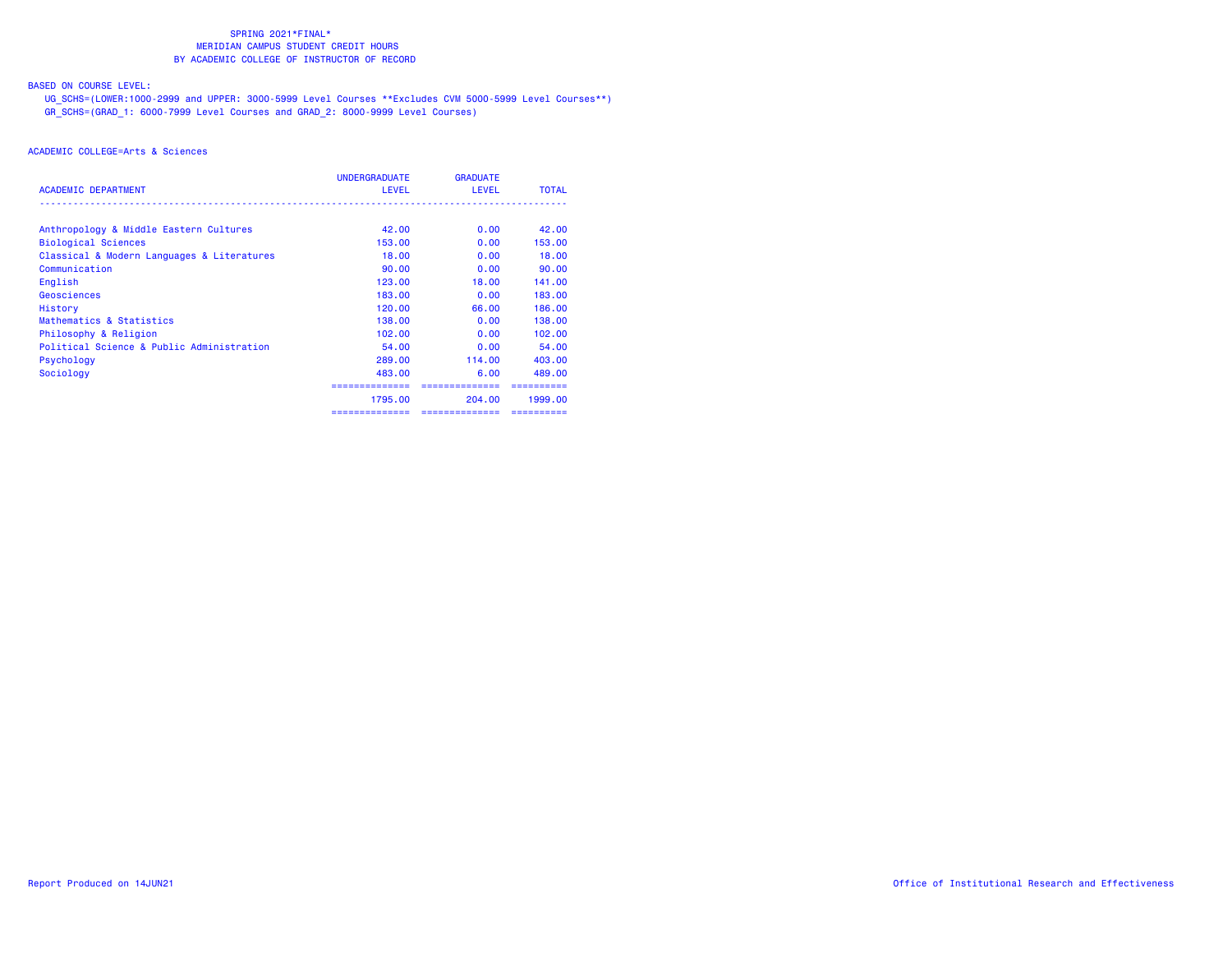# BASED ON COURSE LEVEL:

 UG\_SCHS=(LOWER:1000-2999 and UPPER: 3000-5999 Level Courses \*\*Excludes CVM 5000-5999 Level Courses\*\*) GR\_SCHS=(GRAD\_1: 6000-7999 Level Courses and GRAD\_2: 8000-9999 Level Courses)

|                                            | <b>UNDERGRADUATE</b> | <b>GRADUATE</b> |              |
|--------------------------------------------|----------------------|-----------------|--------------|
| <b>ACADEMIC DEPARTMENT</b>                 | <b>LEVEL</b>         | <b>LEVEL</b>    | <b>TOTAL</b> |
| Anthropology & Middle Eastern Cultures     | 42.00                | 0.00            | 42.00        |
| <b>Biological Sciences</b>                 | 153,00               | 0.00            | 153,00       |
| Classical & Modern Languages & Literatures | 18,00                | 0.00            | 18.00        |
| Communication                              | 90.00                | 0.00            | 90.00        |
| English                                    | 123.00               | 18,00           | 141.00       |
| Geosciences                                | 183,00               | 0.00            | 183,00       |
| History                                    | 120.00               | 66.00           | 186.00       |
| Mathematics & Statistics                   | 138,00               | 0.00            | 138,00       |
| Philosophy & Religion                      | 102.00               | 0.00            | 102,00       |
| Political Science & Public Administration  | 54,00                | 0.00            | 54.00        |
| Psychology                                 | 289.00               | 114,00          | 403,00       |
| Sociology                                  | 483.00               | 6.00            | 489.00       |
|                                            |                      | =============   |              |
|                                            | 1795.00              | 204.00          | 1999.00      |
|                                            | ==============       | ==============  | ==========   |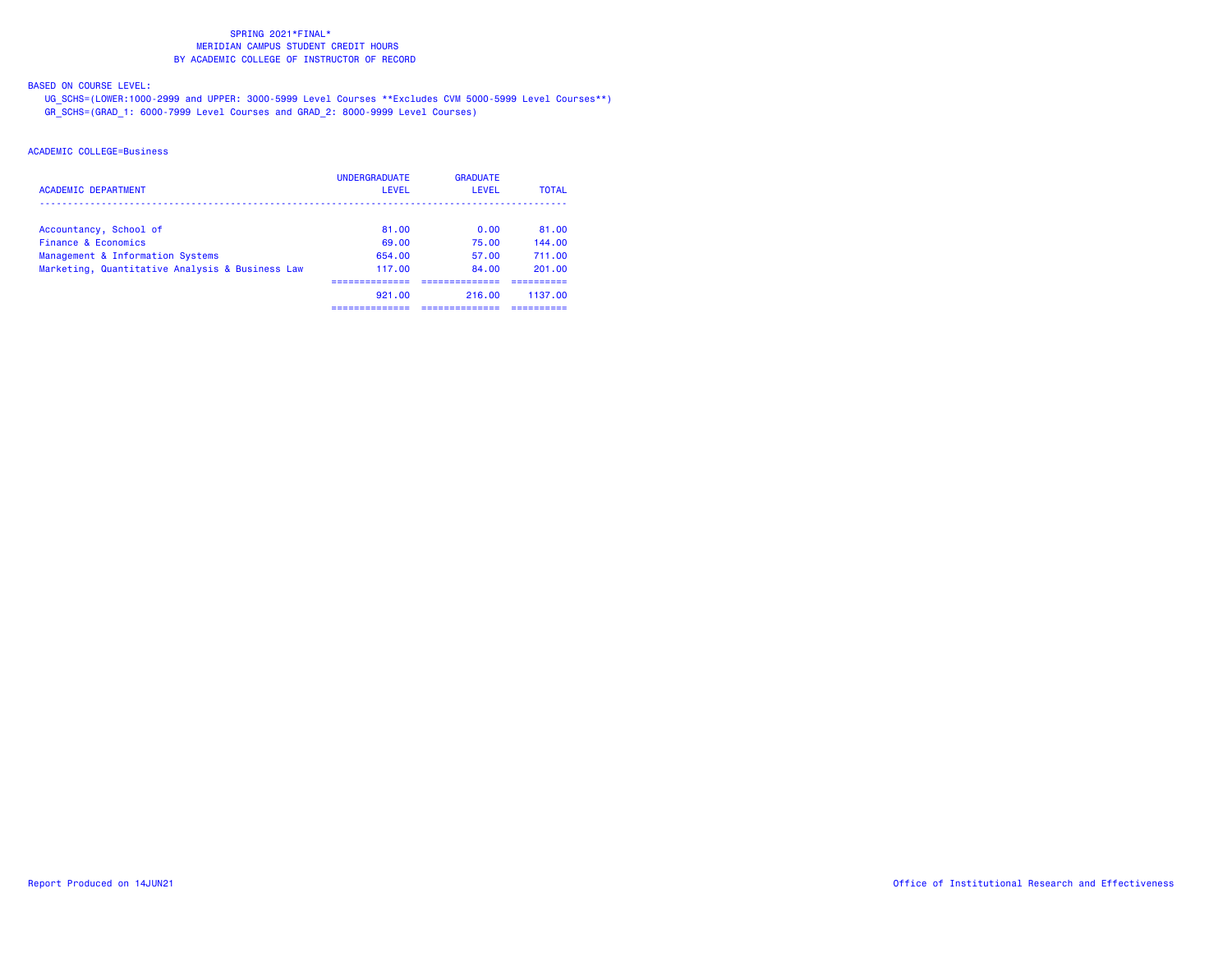BASED ON COURSE LEVEL:

 UG\_SCHS=(LOWER:1000-2999 and UPPER: 3000-5999 Level Courses \*\*Excludes CVM 5000-5999 Level Courses\*\*) GR\_SCHS=(GRAD\_1: 6000-7999 Level Courses and GRAD\_2: 8000-9999 Level Courses)

| <b>ACADEMIC DEPARTMENT</b>                      | <b>UNDERGRADUATE</b><br>LEVEL | <b>GRADUATE</b><br><b>LEVEL</b> | <b>TOTAL</b> |
|-------------------------------------------------|-------------------------------|---------------------------------|--------------|
| Accountancy, School of                          | 81.00                         | 0.00                            | 81.00        |
| Finance & Economics                             | 69.00                         | 75.00                           | 144.00       |
| Management & Information Systems                | 654.00                        | 57.00                           | 711.00       |
| Marketing, Quantitative Analysis & Business Law | 117.00                        | 84.00                           | 201.00       |
|                                                 | ____________<br>921.00        | 216.00                          | 1137.00      |
|                                                 |                               |                                 |              |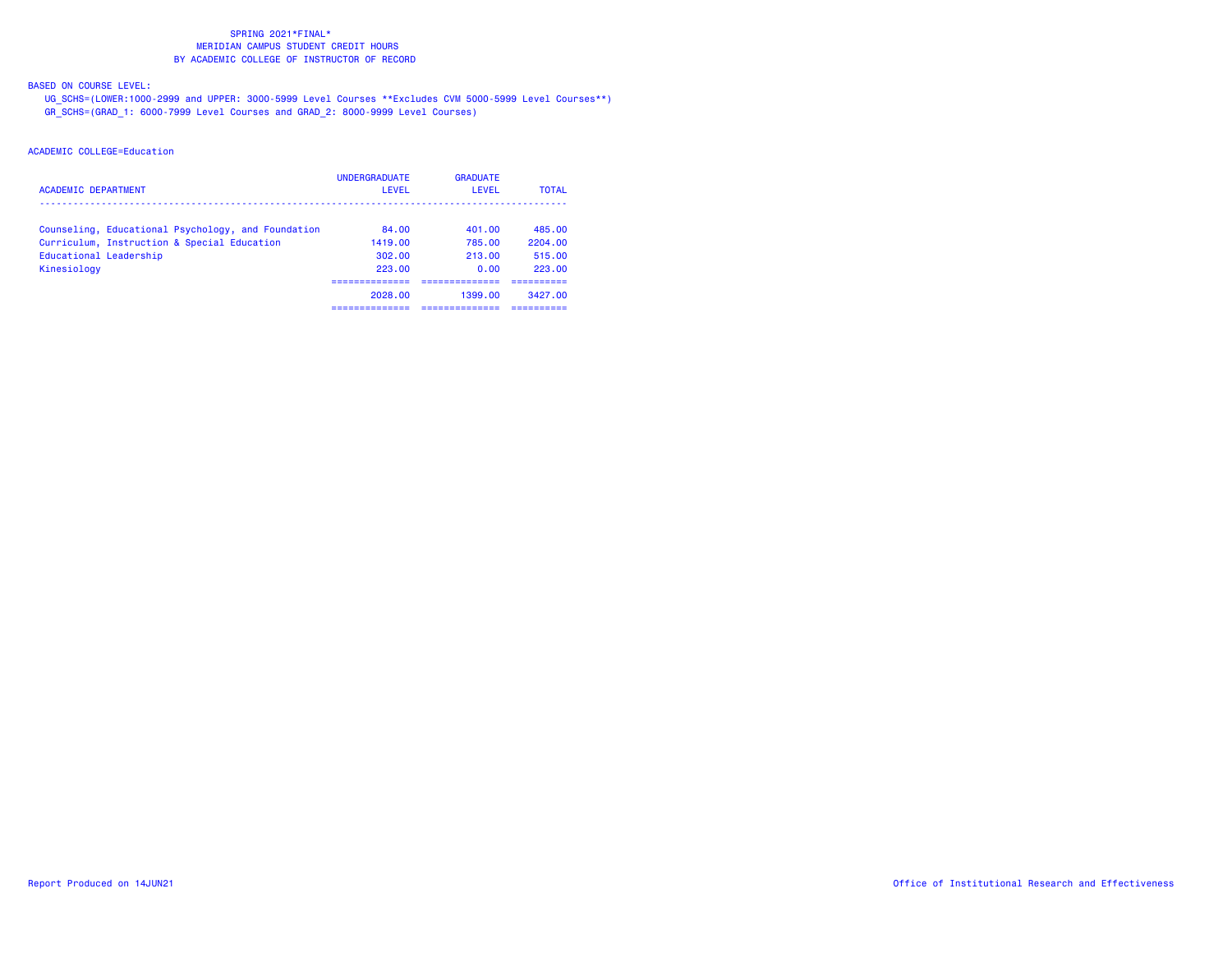BASED ON COURSE LEVEL:

 UG\_SCHS=(LOWER:1000-2999 and UPPER: 3000-5999 Level Courses \*\*Excludes CVM 5000-5999 Level Courses\*\*) GR\_SCHS=(GRAD\_1: 6000-7999 Level Courses and GRAD\_2: 8000-9999 Level Courses)

| <b>ACADEMIC DEPARTMENT</b>                         | <b>UNDERGRADUATE</b><br>LEVEL | <b>GRADUATE</b><br>LEVEL | <b>TOTAL</b> |
|----------------------------------------------------|-------------------------------|--------------------------|--------------|
| Counseling, Educational Psychology, and Foundation | 84.00                         | 401.00                   | 485.00       |
| Curriculum, Instruction & Special Education        | 1419.00                       | 785.00                   | 2204.00      |
| Educational Leadership                             | 302.00                        | 213.00                   | 515.00       |
| Kinesiology                                        | 223.00                        | 0.00                     | 223.00       |
|                                                    |                               |                          |              |
|                                                    | 2028.00                       | 1399.00                  | 3427.00      |
|                                                    |                               |                          |              |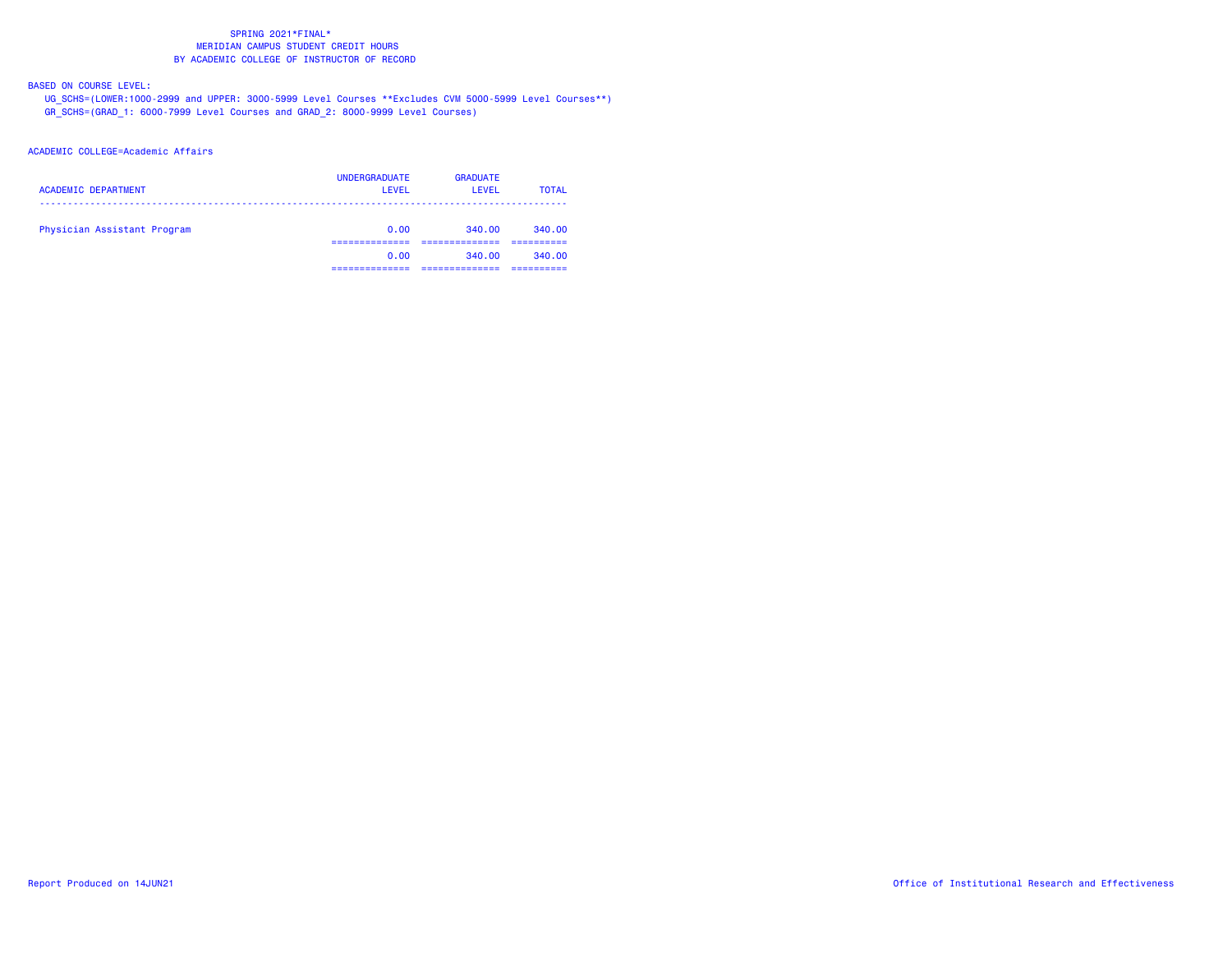BASED ON COURSE LEVEL:

 UG\_SCHS=(LOWER:1000-2999 and UPPER: 3000-5999 Level Courses \*\*Excludes CVM 5000-5999 Level Courses\*\*) GR\_SCHS=(GRAD\_1: 6000-7999 Level Courses and GRAD\_2: 8000-9999 Level Courses)

### ACADEMIC COLLEGE=Academic Affairs

| <b>ACADEMIC DEPARTMENT</b>  | <b>UNDERGRADUATE</b><br>LEVEL | <b>GRADUATE</b><br>LEVEL | <b>TOTAL</b> |
|-----------------------------|-------------------------------|--------------------------|--------------|
| Physician Assistant Program | 0.00                          | 340.00                   | 340.00       |
|                             | 0.00                          | 340.00                   | 340.00       |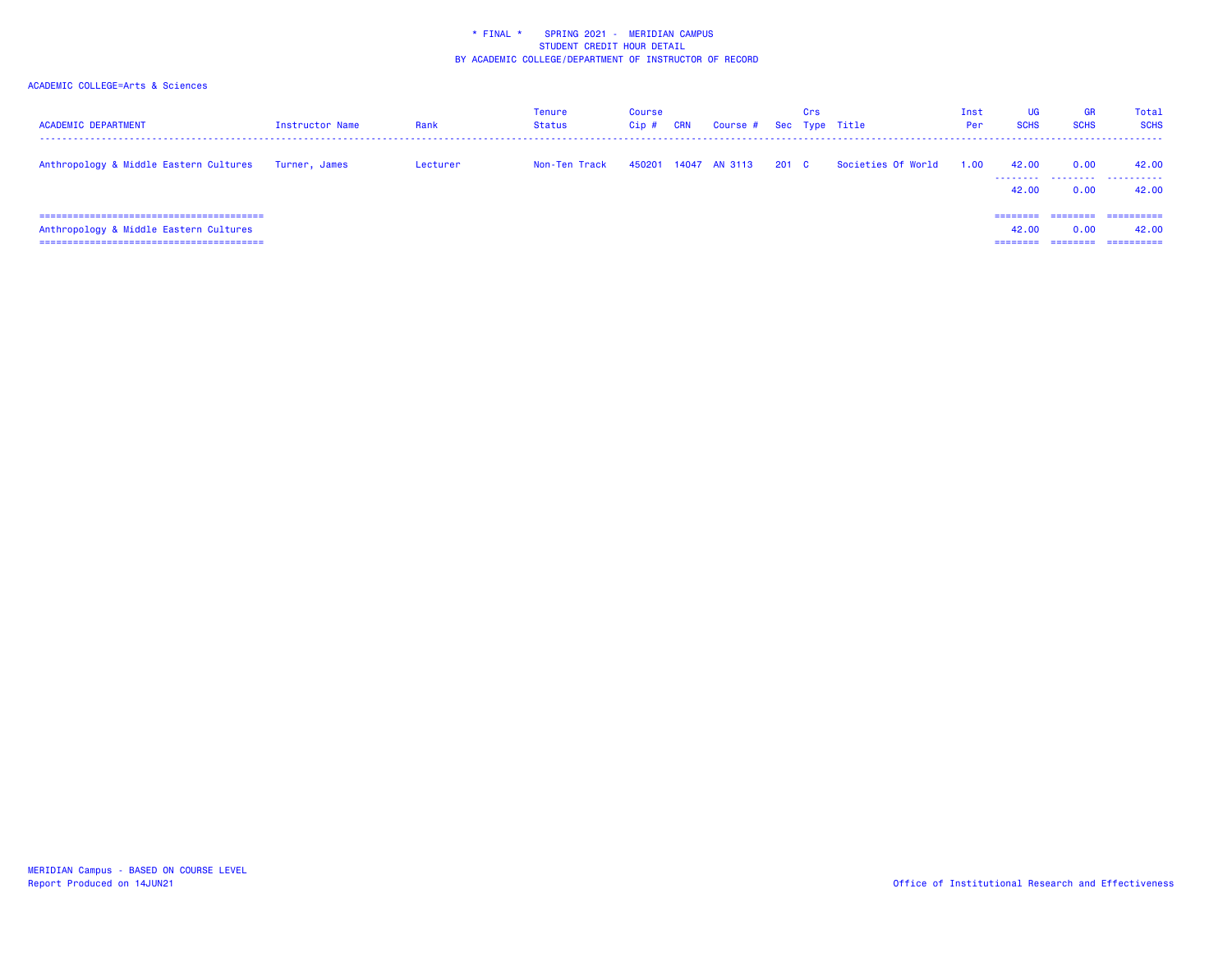| <b>ACADEMIC DEPARTMENT</b>             | Instructor Name | Rank     | Tenure<br>Status | Course<br>Cip# | <b>CRN</b> | Course #      |       | Crs | Sec Type Title     | Inst<br>Per | UG<br><b>SCHS</b>             | GR<br><b>SCHS</b>            | Total<br><b>SCHS</b>              |
|----------------------------------------|-----------------|----------|------------------|----------------|------------|---------------|-------|-----|--------------------|-------------|-------------------------------|------------------------------|-----------------------------------|
| Anthropology & Middle Eastern Cultures | Turner, James   | Lecturer | Non-Ten Track    | 450201         |            | 14047 AN 3113 | 201 C |     | Societies Of World | 1.00        | 42.00<br>42.00                | 0.00<br>0.00                 | 42.00<br><br>42.00                |
| Anthropology & Middle Eastern Cultures |                 |          |                  |                |            |               |       |     |                    |             | --------<br>42.00<br>======== | ========<br>0.00<br>======== | ==========<br>42.00<br>========== |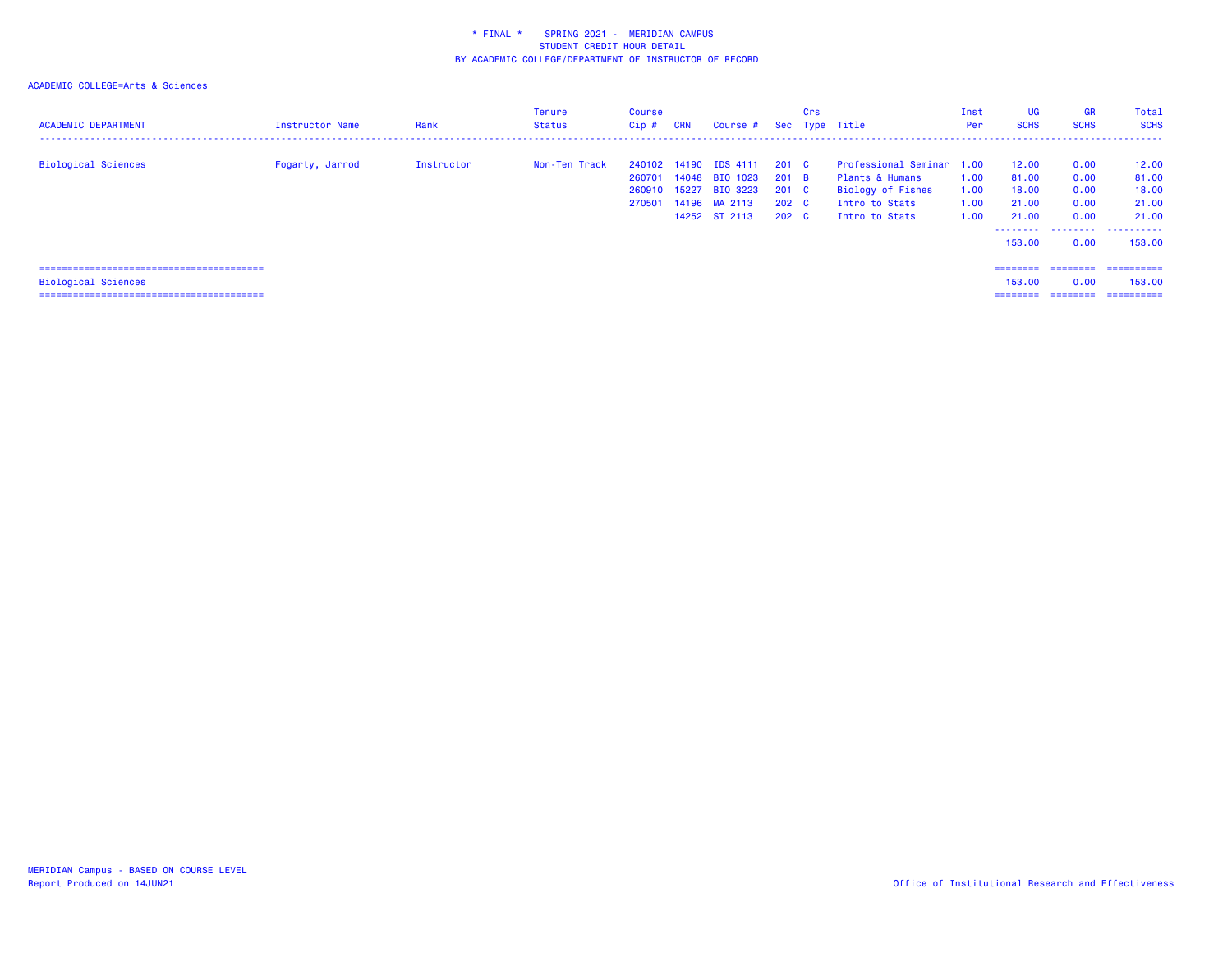| <b>ACADEMIC DEPARTMENT</b> | Instructor Name | Rank       | Tenure<br><b>Status</b> | <b>Course</b><br>Cip #               | <b>CRN</b> | Course #                                                                             |                                                     | Crs | Sec Type Title                                                                                        | Inst<br>Per                  | <b>UG</b><br><b>SCHS</b>                  | <b>GR</b><br><b>SCHS</b>             | Total<br><b>SCHS</b>                                                      |
|----------------------------|-----------------|------------|-------------------------|--------------------------------------|------------|--------------------------------------------------------------------------------------|-----------------------------------------------------|-----|-------------------------------------------------------------------------------------------------------|------------------------------|-------------------------------------------|--------------------------------------|---------------------------------------------------------------------------|
| <b>Biological Sciences</b> | Fogarty, Jarrod | Instructor | Non-Ten Track           | 240102<br>260701<br>260910<br>270501 |            | 14190 IDS 4111<br>14048 BIO 1023<br>15227 BIO 3223<br>14196 MA 2113<br>14252 ST 2113 | 201 C<br>$201$ B<br>201 C<br>202 C<br>$202 \quad C$ |     | Professional Seminar 1.00<br>Plants & Humans<br>Biology of Fishes<br>Intro to Stats<br>Intro to Stats | 1.00<br>1.00<br>1.00<br>1.00 | 12.00<br>81.00<br>18.00<br>21.00<br>21.00 | 0.00<br>0.00<br>0.00<br>0.00<br>0.00 | 12.00<br>81.00<br>18.00<br>21.00<br>21.00                                 |
| <b>Biological Sciences</b> |                 |            |                         |                                      |            |                                                                                      |                                                     |     |                                                                                                       |                              | 153.00<br>========<br>153,00<br>========  | 0.00<br>0.00                         | <br>153,00<br>========= ==========<br>153,00<br>_________________________ |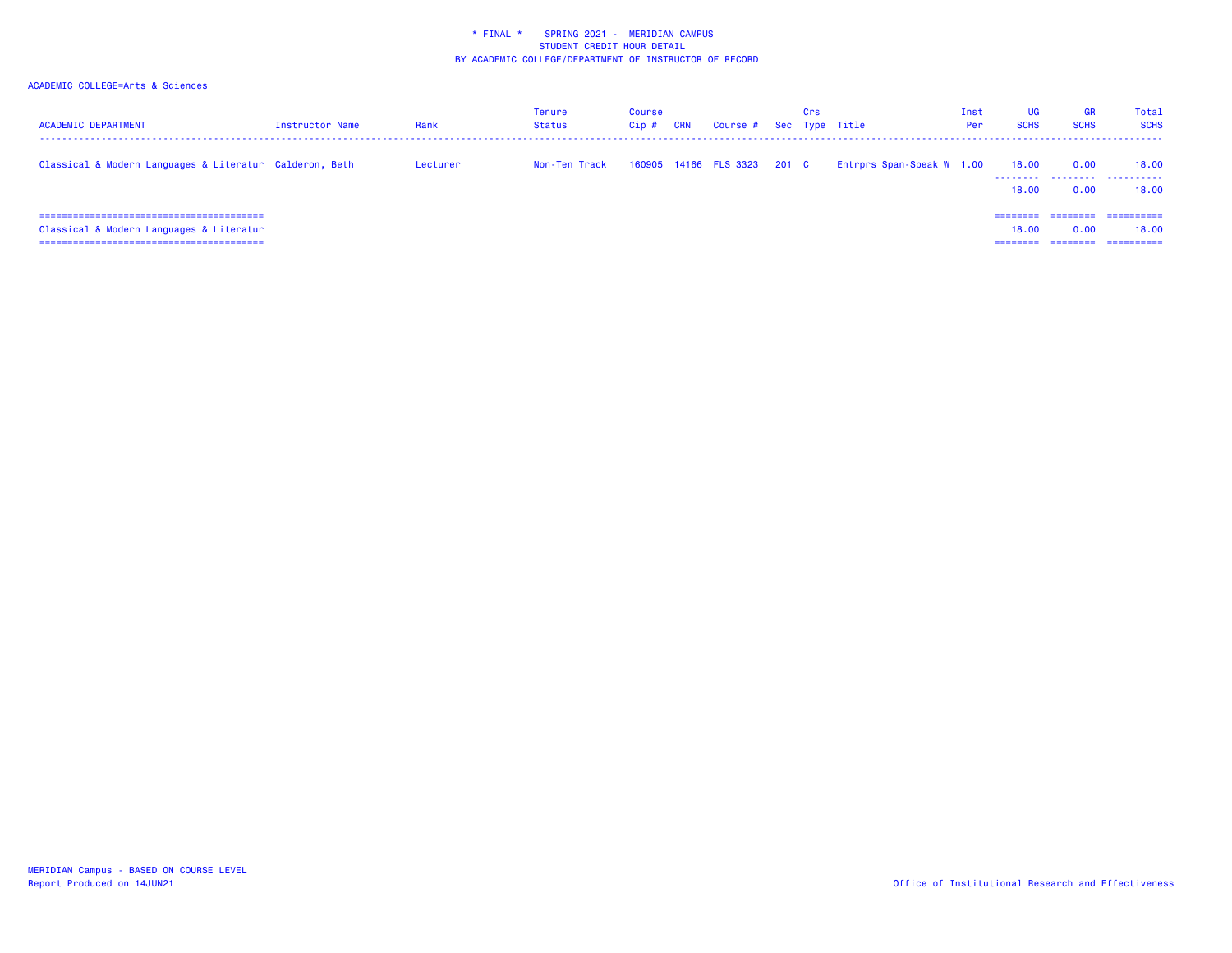| <b>ACADEMIC DEPARTMENT</b>                                                 | <b>Instructor Name</b> | Rank     | Tenure<br><b>Status</b> | Course<br>Cip# | <b>CRN</b> | Course # Sec Type Title     | Crs |                           | Inst<br>Per | UG<br><b>SCHS</b>   | <b>GR</b><br><b>SCHS</b> | Total<br><b>SCHS</b>              |
|----------------------------------------------------------------------------|------------------------|----------|-------------------------|----------------|------------|-----------------------------|-----|---------------------------|-------------|---------------------|--------------------------|-----------------------------------|
| Classical & Modern Languages & Literatur Calderon, Beth                    |                        | Lecturer | Non-Ten Track           |                |            | 160905 14166 FLS 3323 201 C |     | Entrprs Span-Speak W 1.00 |             | 18.00<br>.<br>18.00 | 0.00<br>.<br>0.00        | 18,00<br>.<br>18.00               |
| Classical & Modern Languages & Literatur<br>------------------------------ |                        |          |                         |                |            |                             |     |                           |             | ========<br>18.00   | ========<br>0.00         | ==========<br>18.00<br>========== |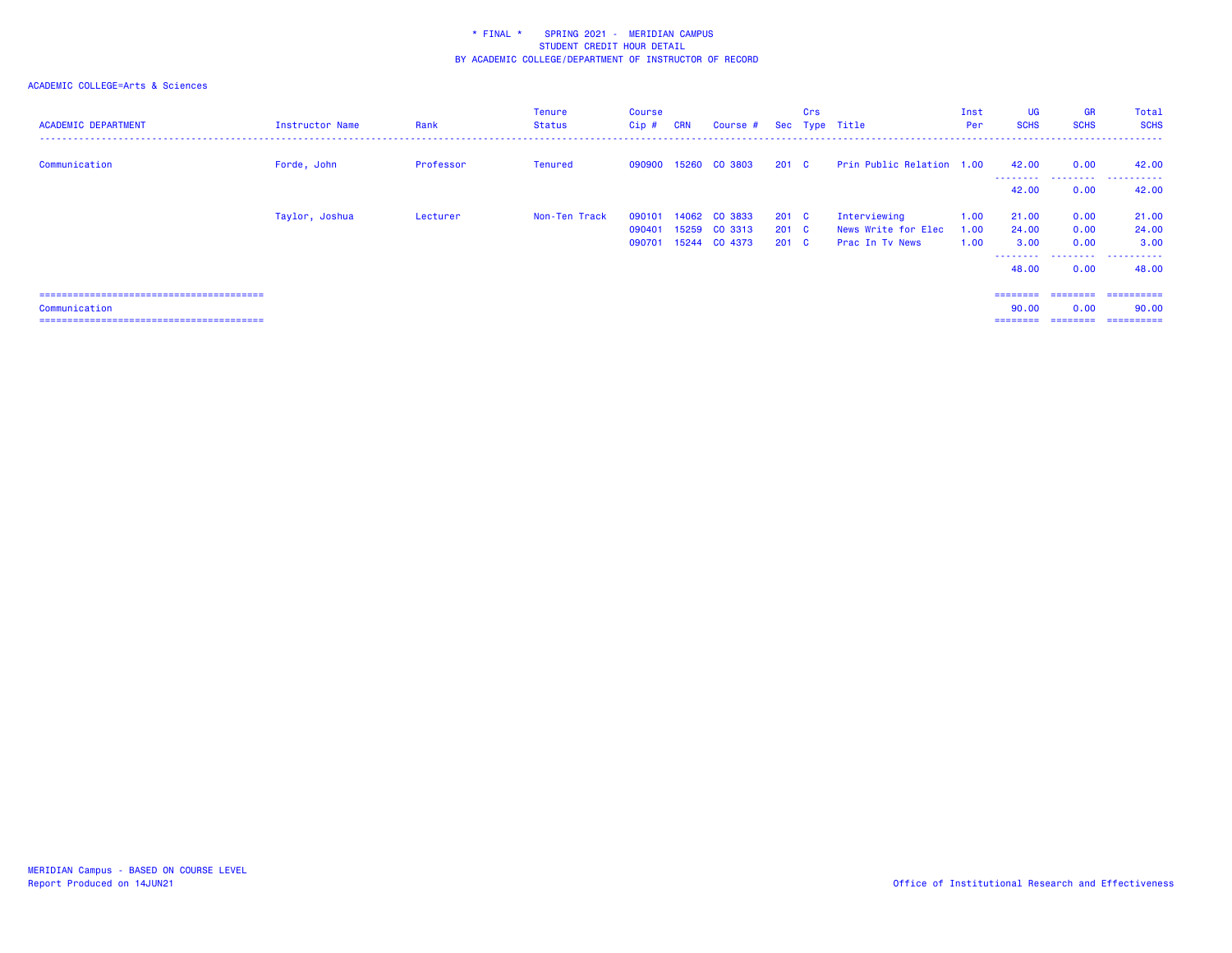| <b>ACADEMIC DEPARTMENT</b> | Instructor Name | Rank      | Tenure<br>Status | Course<br>$Cip$ # | <b>CRN</b> | Course #                 |                                | Crs | Sec Type Title                         | Inst<br>Per  | <b>UG</b><br><b>SCHS</b> | <b>GR</b><br><b>SCHS</b> | Total<br><b>SCHS</b>  |
|----------------------------|-----------------|-----------|------------------|-------------------|------------|--------------------------|--------------------------------|-----|----------------------------------------|--------------|--------------------------|--------------------------|-----------------------|
| Communication              | Forde, John     | Professor | <b>Tenured</b>   |                   |            | 090900 15260 CO 3803     | $201 \quad C$                  |     | Prin Public Relation 1.00              |              | 42.00<br>--------        | 0.00<br>.                | 42.00<br>-------<br>. |
|                            |                 |           |                  |                   |            |                          |                                |     |                                        |              | 42.00                    | 0.00                     | 42.00                 |
|                            | Taylor, Joshua  | Lecturer  | Non-Ten Track    | 090101            | 14062      | CO 3833                  | $201 \quad C$                  |     | Interviewing                           | 1.00         | 21.00                    | 0.00                     | 21.00                 |
|                            |                 |           |                  | 090401<br>090701  | 15259      | CO 3313<br>15244 CO 4373 | $201 \quad C$<br>$201 \quad C$ |     | News Write for Elec<br>Prac In Ty News | 1.00<br>1.00 | 24.00<br>3.00            | 0.00<br>0.00             | 24.00<br>3.00         |
|                            |                 |           |                  |                   |            |                          |                                |     |                                        |              | --------<br>48.00        | .<br>0.00                | .<br>48.00            |
|                            |                 |           |                  |                   |            |                          |                                |     |                                        |              |                          |                          |                       |
| Communication              |                 |           |                  |                   |            |                          |                                |     |                                        |              | ========<br>90.00        | ========<br>0.00         | ==========<br>90.00   |
|                            |                 |           |                  |                   |            |                          |                                |     |                                        |              |                          | ========                 | -----------           |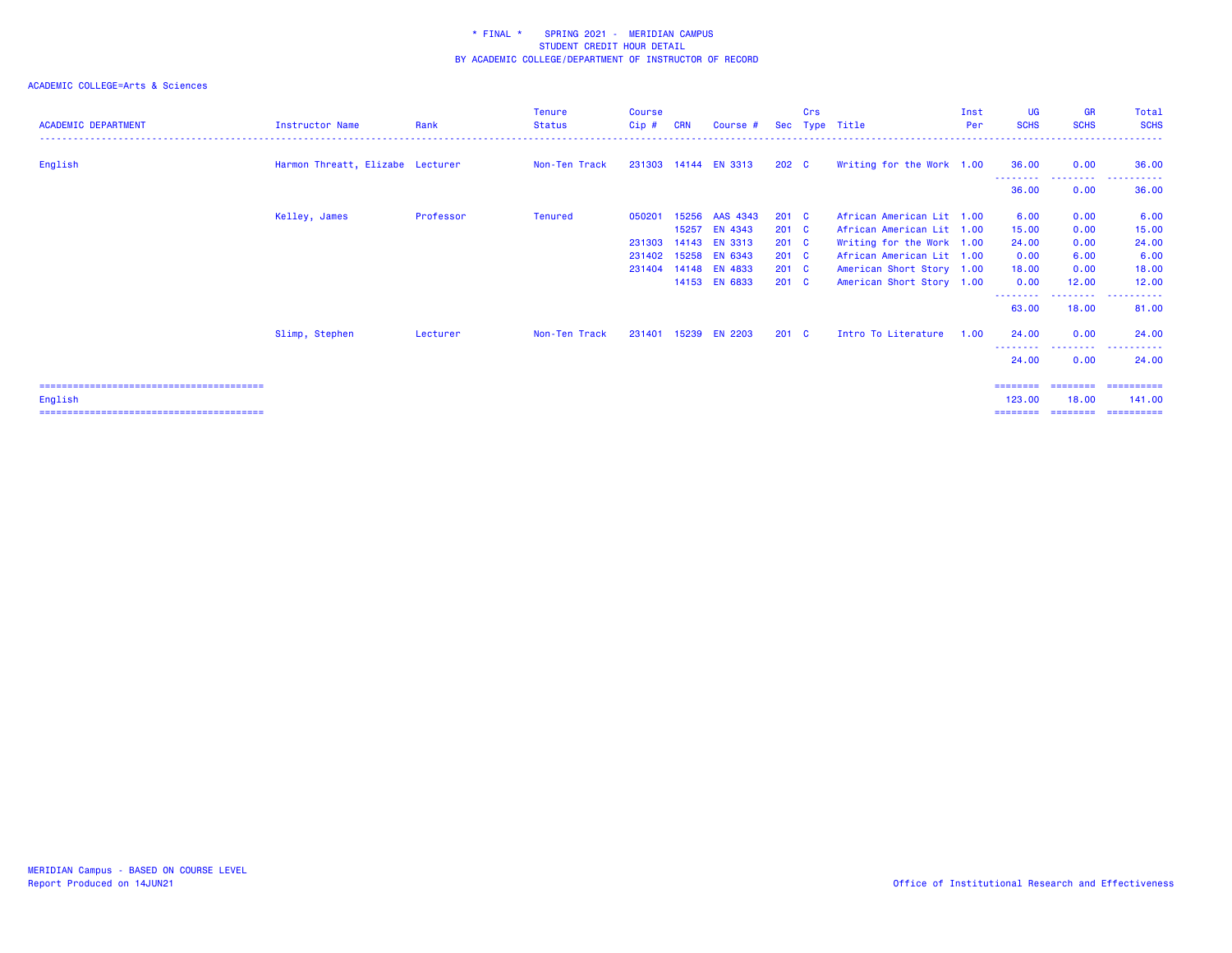| <b>ACADEMIC DEPARTMENT</b>                       | Instructor Name                  | Rank      | <b>Tenure</b><br><b>Status</b> | <b>Course</b><br>$Cip$ # | <b>CRN</b>     | Course #                       |                                      | Crs | Sec Type Title                                         | Inst<br>Per | <b>UG</b><br><b>SCHS</b>       | <b>GR</b><br><b>SCHS</b>       | Total<br><b>SCHS</b>                 |
|--------------------------------------------------|----------------------------------|-----------|--------------------------------|--------------------------|----------------|--------------------------------|--------------------------------------|-----|--------------------------------------------------------|-------------|--------------------------------|--------------------------------|--------------------------------------|
| English                                          | Harmon Threatt, Elizabe Lecturer |           | Non-Ten Track                  |                          |                | 231303 14144 EN 3313           | 202 C                                |     | Writing for the Work 1.00                              |             | 36.00                          | 0.00                           | 36.00                                |
|                                                  |                                  |           |                                |                          |                |                                |                                      |     |                                                        |             | .<br>36.00                     | --------<br>0.00               | ------<br>36.00                      |
|                                                  | Kelley, James                    | Professor | <b>Tenured</b>                 | 050201                   | 15256<br>15257 | AAS 4343<br>EN 4343            | $201 \quad C$<br>$201 \quad C$       |     | African American Lit 1.00<br>African American Lit 1.00 |             | 6.00<br>15.00                  | 0.00<br>0.00                   | 6.00<br>15.00                        |
|                                                  |                                  |           |                                | 231303<br>231402         |                | 14143 EN 3313<br>15258 EN 6343 | $201 \quad C$<br>$201 \quad C$       |     | Writing for the Work 1.00<br>African American Lit 1.00 |             | 24,00<br>0.00                  | 0.00<br>6.00                   | 24.00<br>6.00                        |
|                                                  |                                  |           |                                | 231404                   |                | 14148 EN 4833<br>14153 EN 6833 | 201 <sub>c</sub><br>201 <sub>c</sub> |     | American Short Story 1.00<br>American Short Story 1.00 |             | 18.00<br>0.00                  | 0.00<br>12.00                  | 18.00<br>12.00                       |
|                                                  |                                  |           |                                |                          |                |                                |                                      |     |                                                        |             | --------<br>63.00              | ---------<br>18.00             | . <b>.</b> .<br>$\cdots$<br>81.00    |
|                                                  | Slimp, Stephen                   | Lecturer  | Non-Ten Track                  | 231401                   | 15239          | <b>EN 2203</b>                 | $201 \quad C$                        |     | Intro To Literature                                    | 1.00        | 24.00                          | 0.00                           | 24.00                                |
|                                                  |                                  |           |                                |                          |                |                                |                                      |     |                                                        |             | - - - - - - - - -<br>24.00     | --------<br>0.00               | ----------<br>24.00                  |
| =====================================<br>English |                                  |           |                                |                          |                |                                |                                      |     |                                                        |             | ========<br>123,00<br>======== | ========<br>18,00<br>--------- | -----------<br>141.00<br>----------- |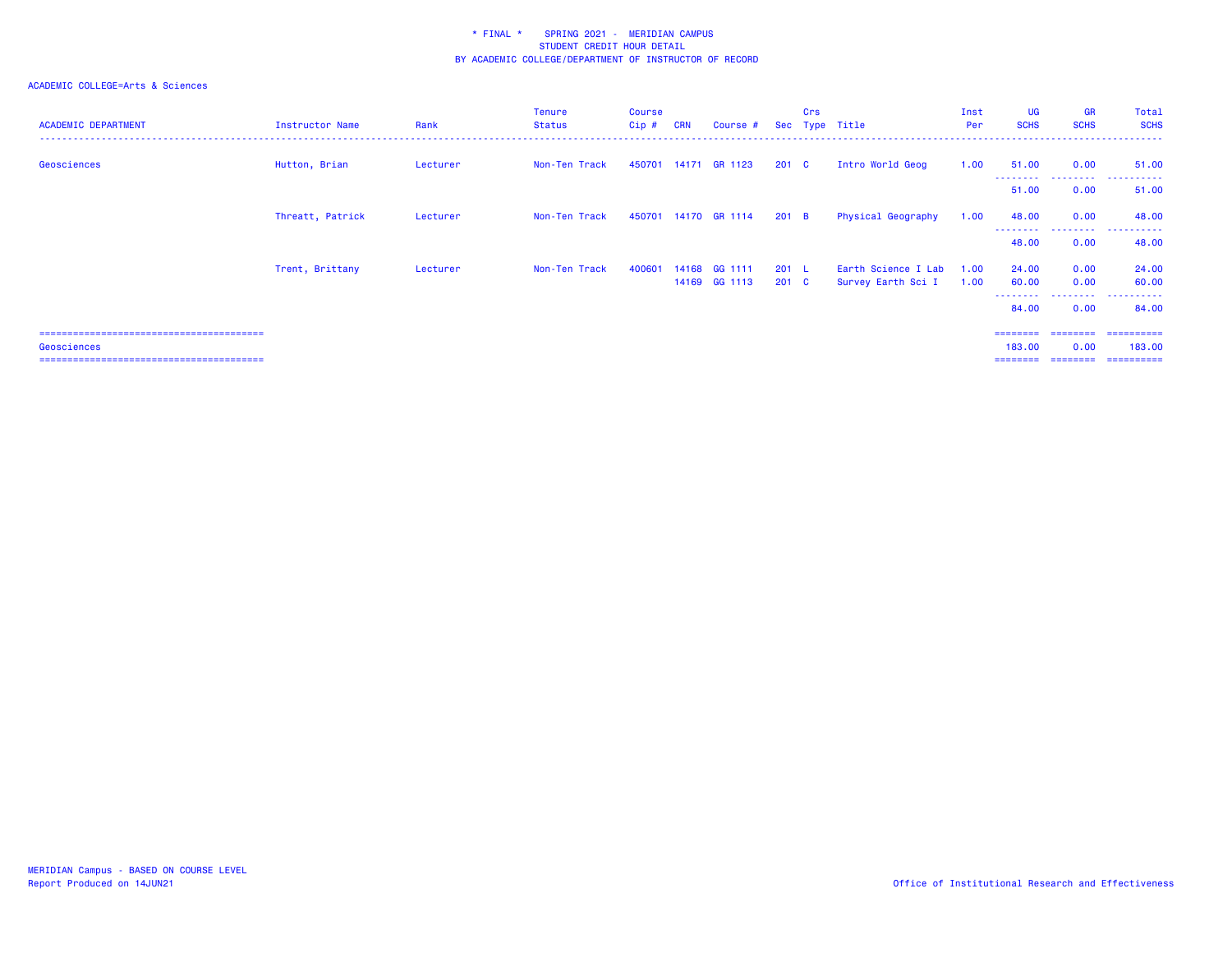| <b>ACADEMIC DEPARTMENT</b> | Instructor Name  | Rank     | <b>Tenure</b><br>Status | Course<br>$Cip$ # | <b>CRN</b> | Course #             |                  | Crs | Sec Type Title      | Inst<br>Per | <b>UG</b><br><b>SCHS</b>          | <b>GR</b><br><b>SCHS</b> | Total<br><b>SCHS</b> |
|----------------------------|------------------|----------|-------------------------|-------------------|------------|----------------------|------------------|-----|---------------------|-------------|-----------------------------------|--------------------------|----------------------|
| Geosciences                | Hutton, Brian    | Lecturer | Non-Ten Track           |                   |            | 450701 14171 GR 1123 | 201 <sub>c</sub> |     | Intro World Geog    | 1.00        | 51.00                             | 0.00                     | 51.00<br>------      |
|                            |                  |          |                         |                   |            |                      |                  |     |                     |             | 51.00                             | 0.00                     | 51.00                |
|                            | Threatt, Patrick | Lecturer | Non-Ten Track           | 450701            |            | 14170 GR 1114        | $201$ B          |     | Physical Geography  | 1.00        | 48.00                             | 0.00                     | 48.00                |
|                            |                  |          |                         |                   |            |                      |                  |     |                     |             | - - - - - - - - <b>-</b><br>48.00 | .<br>0.00                | ----------<br>48.00  |
|                            | Trent, Brittany  | Lecturer | Non-Ten Track           | 400601            | 14168      | GG 1111              | 201 L            |     | Earth Science I Lab | 1.00        | 24.00                             | 0.00                     | 24.00                |
|                            |                  |          |                         |                   |            | 14169 GG 1113        | 201 C            |     | Survey Earth Sci I  | 1.00        | 60.00<br>--------                 | 0.00<br>.                | 60.00<br>.           |
|                            |                  |          |                         |                   |            |                      |                  |     |                     |             | 84.00                             | 0.00                     | 84.00                |
|                            |                  |          |                         |                   |            |                      |                  |     |                     |             | ========= ========                |                          | -----------          |
| Geosciences                |                  |          |                         |                   |            |                      |                  |     |                     |             | 183,00                            | 0.00                     | 183,00               |
|                            |                  |          |                         |                   |            |                      |                  |     |                     |             | ========                          | ========                 | ==========           |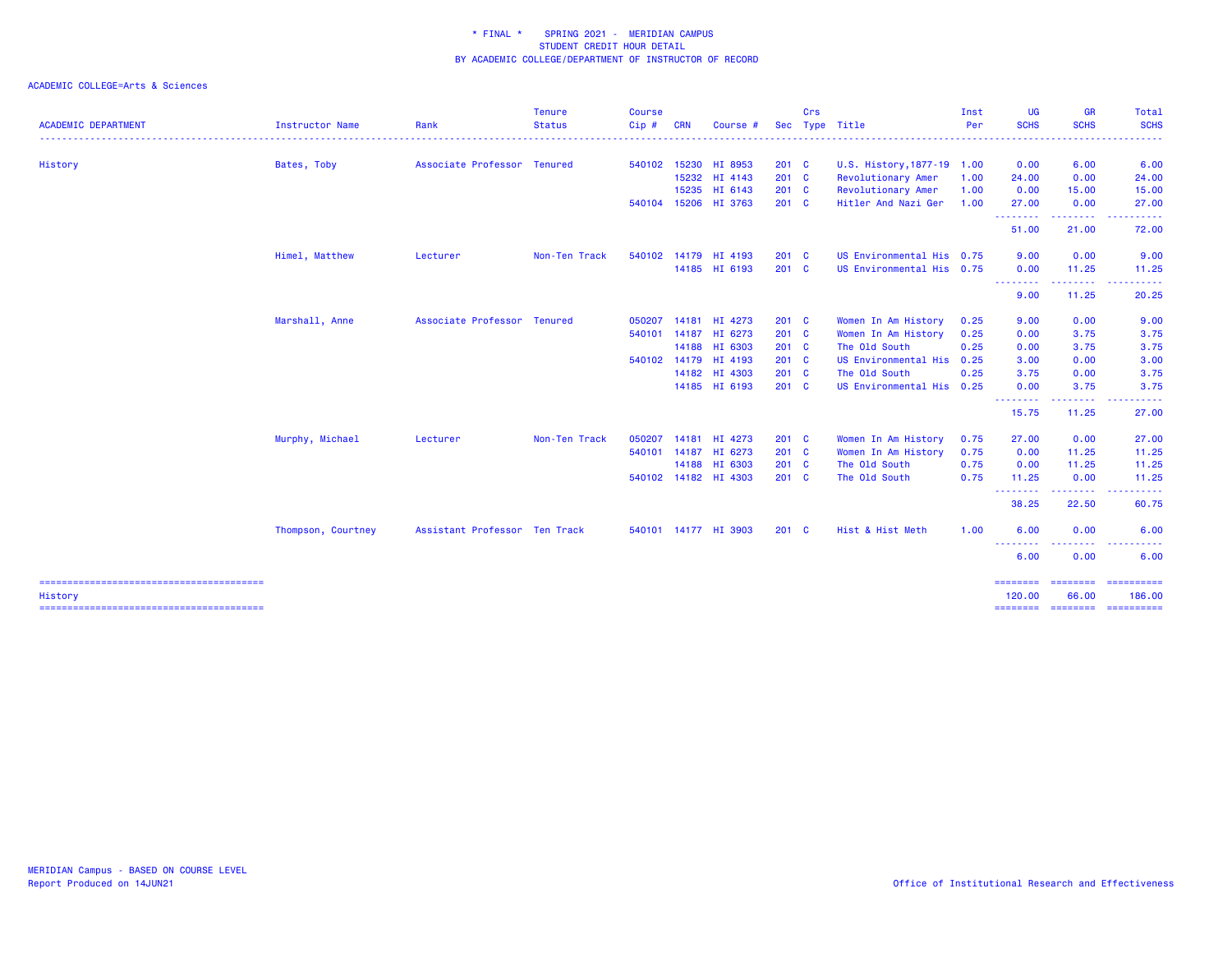|                            |                    |                               | <b>Tenure</b> | <b>Course</b> |            |                      |         | Crs |                            | Inst | <b>UG</b>               | <b>GR</b>               | <b>Total</b>                                                                                                                                                 |
|----------------------------|--------------------|-------------------------------|---------------|---------------|------------|----------------------|---------|-----|----------------------------|------|-------------------------|-------------------------|--------------------------------------------------------------------------------------------------------------------------------------------------------------|
| <b>ACADEMIC DEPARTMENT</b> | Instructor Name    | Rank                          | <b>Status</b> | Cip #         | <b>CRN</b> | Course #             |         |     | Sec Type Title             | Per  | <b>SCHS</b>             | <b>SCHS</b>             | <b>SCHS</b><br>.                                                                                                                                             |
| History                    | Bates, Toby        | Associate Professor Tenured   |               | 540102        | 15230      | HI 8953              | $201$ C |     | U.S. History, 1877-19 1.00 |      | 0.00                    | 6.00                    | 6.00                                                                                                                                                         |
|                            |                    |                               |               |               |            | 15232 HI 4143        | 201 C   |     | Revolutionary Amer         | 1.00 | 24.00                   | 0.00                    | 24.00                                                                                                                                                        |
|                            |                    |                               |               |               | 15235      | HI 6143              | $201$ C |     | Revolutionary Amer         | 1.00 | 0.00                    | 15.00                   | 15.00                                                                                                                                                        |
|                            |                    |                               |               | 540104        |            | 15206 HI 3763        | $201$ C |     | Hitler And Nazi Ger        | 1.00 | 27.00                   | 0.00<br>.               | 27.00<br>.                                                                                                                                                   |
|                            |                    |                               |               |               |            |                      |         |     |                            |      | 51.00                   | 21.00                   | 72.00                                                                                                                                                        |
|                            | Himel, Matthew     | Lecturer                      | Non-Ten Track | 540102        |            | 14179 HI 4193        | $201$ C |     | US Environmental His 0.75  |      | 9.00                    | 0.00                    | 9.00                                                                                                                                                         |
|                            |                    |                               |               |               |            | 14185 HI 6193        | $201$ C |     | US Environmental His 0.75  |      | 0.00<br>.               | 11.25<br>.              | 11.25<br>$\sim$ $\sim$ $\sim$                                                                                                                                |
|                            |                    |                               |               |               |            |                      |         |     |                            |      | 9.00                    | 11.25                   | 20.25                                                                                                                                                        |
|                            | Marshall, Anne     | Associate Professor Tenured   |               | 050207        | 14181      | HI 4273              | 201 C   |     | Women In Am History        | 0.25 | 9.00                    | 0.00                    | 9.00                                                                                                                                                         |
|                            |                    |                               |               | 540101        | 14187      | HI 6273              | $201$ C |     | Women In Am History        | 0.25 | 0.00                    | 3.75                    | 3.75                                                                                                                                                         |
|                            |                    |                               |               |               | 14188      | HI 6303              | $201$ C |     | The Old South              | 0.25 | 0.00                    | 3.75                    | 3.75                                                                                                                                                         |
|                            |                    |                               |               | 540102        | 14179      | HI 4193              | $201$ C |     | US Environmental His 0.25  |      | 3.00                    | 0.00                    | 3.00                                                                                                                                                         |
|                            |                    |                               |               |               | 14182      | HI 4303              | $201$ C |     | The Old South              | 0.25 | 3.75                    | 0.00                    | 3.75                                                                                                                                                         |
|                            |                    |                               |               |               |            | 14185 HI 6193        | $201$ C |     | US Environmental His 0.25  |      | 0.00<br>.               | 3.75<br>.               | 3.75<br>$\frac{1}{2} \left( \frac{1}{2} \right) \left( \frac{1}{2} \right) \left( \frac{1}{2} \right) \left( \frac{1}{2} \right) \left( \frac{1}{2} \right)$ |
|                            |                    |                               |               |               |            |                      |         |     |                            |      | 15.75                   | 11.25                   | 27.00                                                                                                                                                        |
|                            | Murphy, Michael    | Lecturer                      | Non-Ten Track | 050207        | 14181      | HI 4273              | $201$ C |     | Women In Am History        | 0.75 | 27.00                   | 0.00                    | 27.00                                                                                                                                                        |
|                            |                    |                               |               |               |            | 540101 14187 HI 6273 | 201 C   |     | Women In Am History        | 0.75 | 0.00                    | 11.25                   | 11.25                                                                                                                                                        |
|                            |                    |                               |               |               |            | 14188 HI 6303        | $201$ C |     | The Old South              | 0.75 | 0.00                    | 11.25                   | 11.25                                                                                                                                                        |
|                            |                    |                               |               | 540102        |            | 14182 HI 4303        | 201 C   |     | The Old South              | 0.75 | 11.25<br>.              | 0.00<br>.               | 11.25<br>.                                                                                                                                                   |
|                            |                    |                               |               |               |            |                      |         |     |                            |      | 38.25                   | 22.50                   | 60.75                                                                                                                                                        |
|                            | Thompson, Courtney | Assistant Professor Ten Track |               |               |            | 540101 14177 HI 3903 | $201$ C |     | Hist & Hist Meth           | 1.00 | 6.00                    | 0.00                    | 6.00                                                                                                                                                         |
|                            |                    |                               |               |               |            |                      |         |     |                            |      | - - - - - - - -<br>6.00 | 0.00                    | 6.00                                                                                                                                                         |
| History                    |                    |                               |               |               |            |                      |         |     |                            |      | ========<br>120.00      | <b>ESSESSE</b><br>66.00 | ==========<br>186.00                                                                                                                                         |
|                            |                    |                               |               |               |            |                      |         |     |                            |      | ======== ========       |                         | -----------                                                                                                                                                  |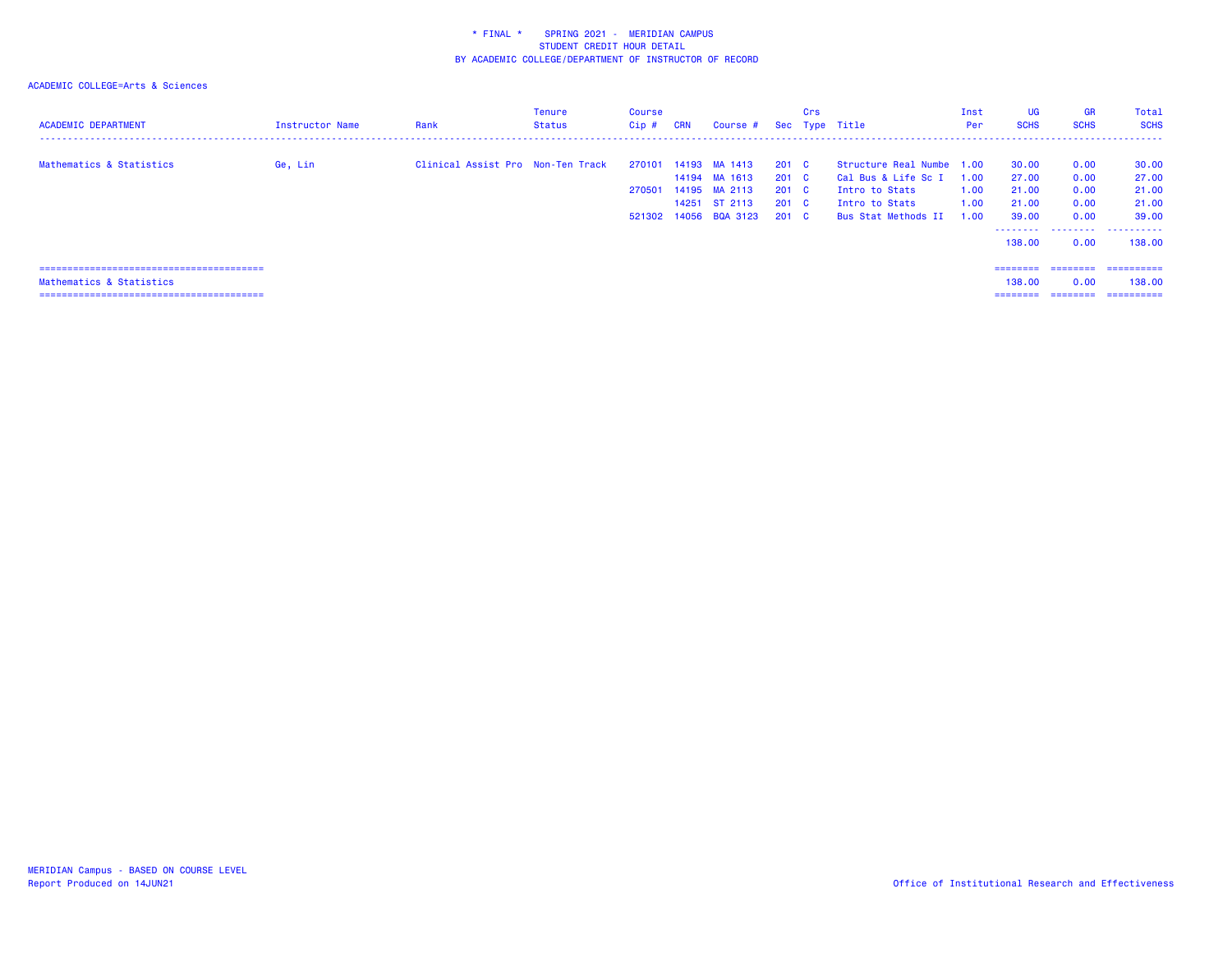| <b>ACADEMIC DEPARTMENT</b> | Instructor Name | Rank                              | Tenure<br><b>Status</b> | Course<br>$Cip$ # | <b>CRN</b> | Course #       |               | Crs | Sec Type Title            | Inst<br>Per | <b>UG</b><br><b>SCHS</b> | <b>GR</b><br><b>SCHS</b> | Total<br><b>SCHS</b> |
|----------------------------|-----------------|-----------------------------------|-------------------------|-------------------|------------|----------------|---------------|-----|---------------------------|-------------|--------------------------|--------------------------|----------------------|
| Mathematics & Statistics   | Ge, Lin         | Clinical Assist Pro Non-Ten Track |                         | 270101            |            | 14193 MA 1413  | $201 \quad C$ |     | Structure Real Numbe 1.00 |             | 30.00                    | 0.00                     | 30.00                |
|                            |                 |                                   |                         |                   |            | 14194 MA 1613  | $201 \quad C$ |     | Cal Bus & Life Sc I       | 1.00        | 27.00                    | 0.00                     | 27.00                |
|                            |                 |                                   |                         | 270501            |            | 14195 MA 2113  | 201 C         |     | Intro to Stats            | 1.00        | 21.00                    | 0.00                     | 21.00                |
|                            |                 |                                   |                         |                   |            | 14251 ST 2113  | 201 C         |     | Intro to Stats            | 1.00        | 21.00                    | 0.00                     | 21.00                |
|                            |                 |                                   |                         | 521302            |            | 14056 BQA 3123 | 201 C         |     | Bus Stat Methods II       | 1.00        | 39.00                    | 0.00                     | 39.00                |
|                            |                 |                                   |                         |                   |            |                |               |     |                           |             | .                        |                          |                      |
|                            |                 |                                   |                         |                   |            |                |               |     |                           |             | 138.00                   | 0.00                     | 138,00               |
|                            |                 |                                   |                         |                   |            |                |               |     |                           |             |                          |                          |                      |
|                            |                 |                                   |                         |                   |            |                |               |     |                           |             | ========                 | ========                 | ==========           |
| Mathematics & Statistics   |                 |                                   |                         |                   |            |                |               |     |                           |             | 138,00                   | 0.00                     | 138,00               |
|                            |                 |                                   |                         |                   |            |                |               |     |                           |             | ========                 | ========                 | ==========           |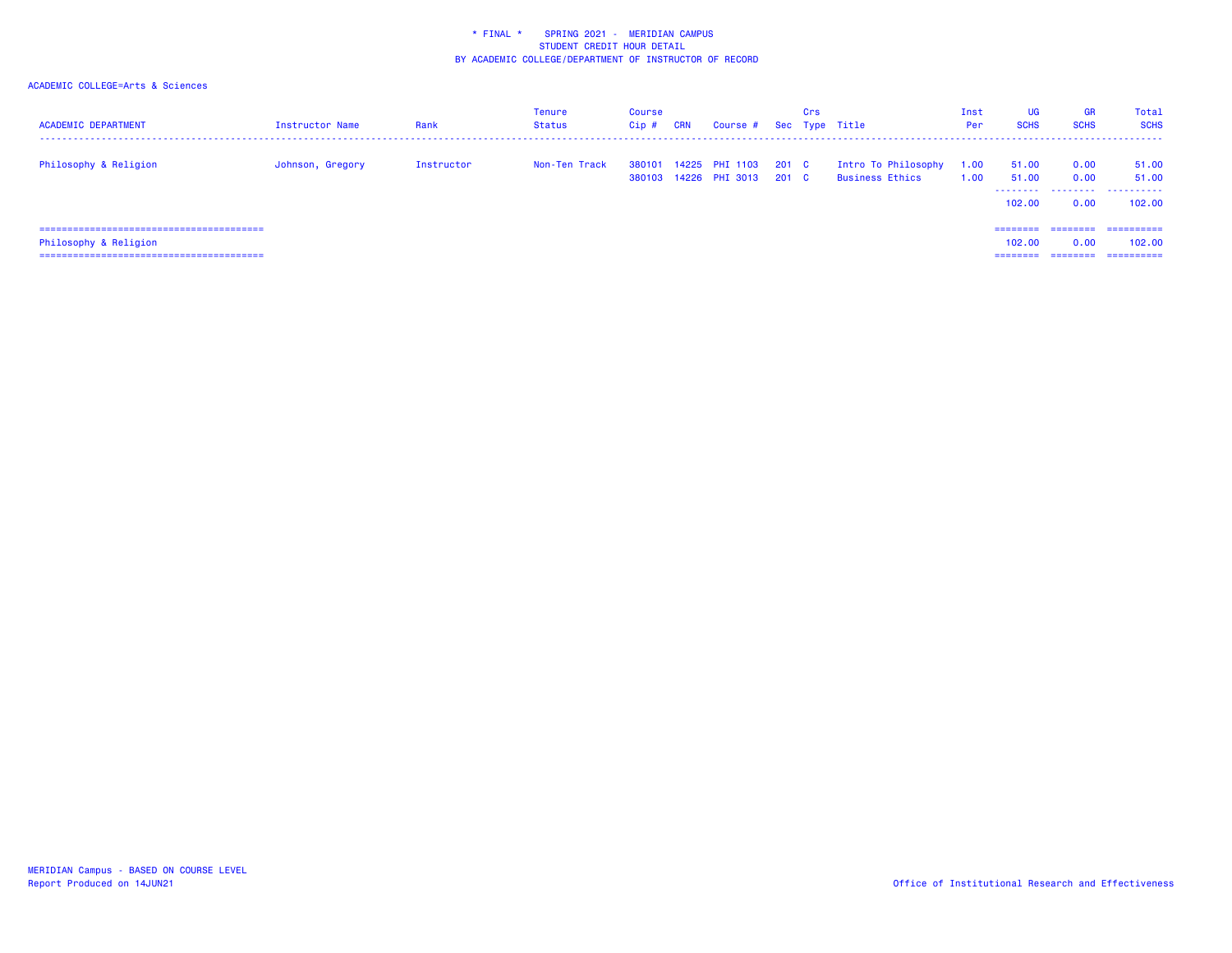| <b>ACADEMIC DEPARTMENT</b>    | Instructor Name  | Rank       | Tenure<br>Status | Course<br>Cip# | <b>CRN</b> | Course #                                |                | Crs | Sec Type Title                         | Inst<br>Per  | <b>UG</b><br><b>SCHS</b> | <b>GR</b><br><b>SCHS</b> | Total<br><b>SCHS</b> |
|-------------------------------|------------------|------------|------------------|----------------|------------|-----------------------------------------|----------------|-----|----------------------------------------|--------------|--------------------------|--------------------------|----------------------|
| Philosophy & Religion         | Johnson, Gregory | Instructor | Non-Ten Track    | 380101         |            | 14225 PHI 1103<br>380103 14226 PHI 3013 | 201 C<br>201 C |     | Intro To Philosophy<br>Business Ethics | 1.00<br>1.00 | 51.00<br>51.00           | 0.00<br>0.00             | 51.00<br>51.00       |
|                               |                  |            |                  |                |            |                                         |                |     |                                        |              | 102,00                   | 0.00                     | <br>102.00           |
| ============================= |                  |            |                  |                |            |                                         |                |     |                                        |              | ---------                | ========                 | ==========           |
| Philosophy & Religion         |                  |            |                  |                |            |                                         |                |     |                                        |              | 102.00                   | 0.00                     | 102,00               |
|                               |                  |            |                  |                |            |                                         |                |     |                                        |              | ---------                | --------                 | ----------           |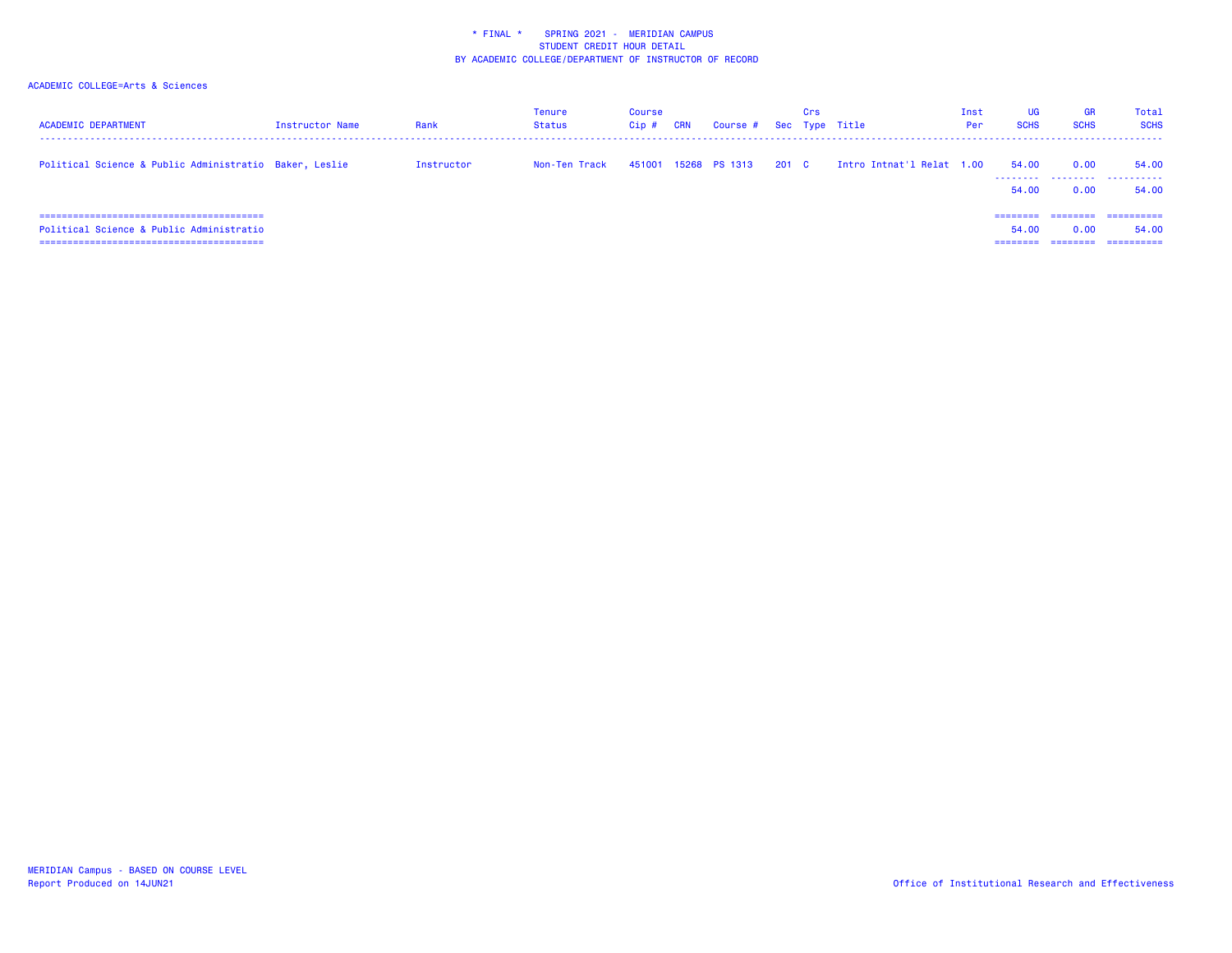| <b>ACADEMIC DEPARTMENT</b>                                                  | <b>Instructor Name</b> | Rank       | Tenure<br>Status | Course<br>Cip# | <b>CRN</b> | Course #      |       | Crs | Sec Type Title            | Inst<br>Per | UG<br><b>SCHS</b>   | <b>GR</b><br><b>SCHS</b> | Total<br><b>SCHS</b>              |
|-----------------------------------------------------------------------------|------------------------|------------|------------------|----------------|------------|---------------|-------|-----|---------------------------|-------------|---------------------|--------------------------|-----------------------------------|
| Political Science & Public Administratio Baker, Leslie                      |                        | Instructor | Non-Ten Track    | 451001         |            | 15268 PS 1313 | 201 C |     | Intro Intnat'l Relat 1.00 |             | 54.00<br>.<br>54.00 | 0.00<br>.<br>0.00        | 54.00<br>.<br>54.00               |
| Political Science & Public Administratio<br>.============================== |                        |            |                  |                |            |               |       |     |                           |             | ========<br>54.00   | ---------<br>0.00        | ==========<br>54.00<br>========== |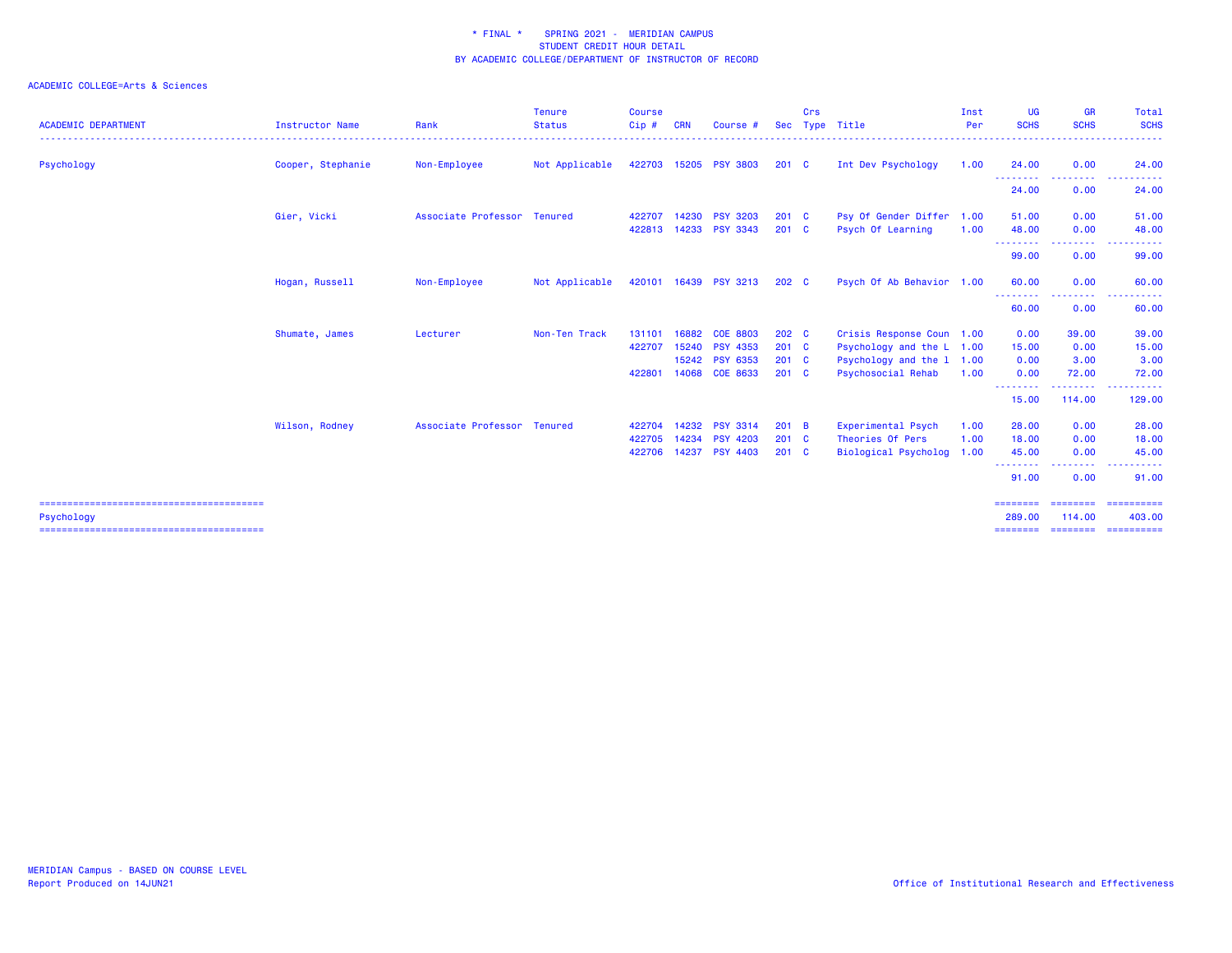| <b>ACADEMIC DEPARTMENT</b> | <b>Instructor Name</b> | Rank                        | <b>Tenure</b><br><b>Status</b> | <b>Course</b><br>Cip#      | <b>CRN</b>     | Course #                                                               | Sec                                                | Crs | Type Title                                                                                           | Inst<br>Per          | <b>UG</b><br><b>SCHS</b>              | <b>GR</b><br><b>SCHS</b>          | Total<br><b>SCHS</b><br>.                                                                                                                    |
|----------------------------|------------------------|-----------------------------|--------------------------------|----------------------------|----------------|------------------------------------------------------------------------|----------------------------------------------------|-----|------------------------------------------------------------------------------------------------------|----------------------|---------------------------------------|-----------------------------------|----------------------------------------------------------------------------------------------------------------------------------------------|
| Psychology                 | Cooper, Stephanie      | Non-Employee                | Not Applicable                 | 422703                     |                | 15205 PSY 3803                                                         | $201 \quad C$                                      |     | Int Dev Psychology                                                                                   | 1.00                 | 24.00                                 | 0.00                              | 24.00                                                                                                                                        |
|                            |                        |                             |                                |                            |                |                                                                        |                                                    |     |                                                                                                      |                      | ---------<br>24.00                    | --------<br>0.00                  | <u>.</u><br>24.00                                                                                                                            |
|                            | Gier, Vicki            | Associate Professor Tenured |                                | 422707<br>422813           | 14233          | 14230 PSY 3203<br><b>PSY 3343</b>                                      | $201 \quad C$<br>$201$ C                           |     | Psy Of Gender Differ 1.00<br>Psych Of Learning                                                       | 1.00                 | 51.00<br>48.00<br>---------           | 0.00<br>0.00                      | 51.00<br>48.00                                                                                                                               |
|                            |                        |                             |                                |                            |                |                                                                        |                                                    |     |                                                                                                      |                      | 99.00                                 | .<br>0.00                         | $\frac{1}{2} \left( \frac{1}{2} \right) \left( \frac{1}{2} \right) \left( \frac{1}{2} \right) \left( \frac{1}{2} \right)$<br>------<br>99.00 |
|                            | Hogan, Russell         | Non-Employee                | Not Applicable                 |                            |                | 420101 16439 PSY 3213                                                  | 202 C                                              |     | Psych Of Ab Behavior 1.00                                                                            |                      | 60.00                                 | 0.00<br>.                         | 60.00                                                                                                                                        |
|                            |                        |                             |                                |                            |                |                                                                        |                                                    |     |                                                                                                      |                      | 60.00                                 | 0.00                              | 60.00                                                                                                                                        |
|                            | Shumate, James         | Lecturer                    | Non-Ten Track                  | 131101<br>422707<br>422801 | 16882<br>15240 | <b>COE 8803</b><br><b>PSY 4353</b><br>15242 PSY 6353<br>14068 COE 8633 | 202 C<br>$201$ C<br>$201 \quad C$<br>$201 \quad C$ |     | Crisis Response Coun 1.00<br>Psychology and the L<br>Psychology and the 1 1.00<br>Psychosocial Rehab | 1.00<br>1.00         | 0.00<br>15.00<br>0.00<br>0.00         | 39.00<br>0.00<br>3.00<br>72.00    | 39.00<br>15.00<br>3.00<br>72.00                                                                                                              |
|                            |                        |                             |                                |                            |                |                                                                        |                                                    |     |                                                                                                      |                      | - - - - - - - - -<br>15.00            | --------<br>114.00                | <u> - - - - - - - - - -</u><br>129.00                                                                                                        |
|                            | Wilson, Rodney         | Associate Professor Tenured |                                | 422704<br>422705<br>422706 | 14234          | 14232 PSY 3314<br><b>PSY 4203</b><br>14237 PSY 4403                    | $201$ B<br>$201$ C<br>$201$ C                      |     | Experimental Psych<br>Theories Of Pers<br>Biological Psycholog                                       | 1.00<br>1.00<br>1.00 | 28.00<br>18.00<br>45.00<br>.<br>91.00 | 0.00<br>0.00<br>0.00<br>.<br>0.00 | 28.00<br>18.00<br>45.00<br>.<br>91.00                                                                                                        |
| Psychology                 |                        |                             |                                |                            |                |                                                                        |                                                    |     |                                                                                                      |                      | ========<br>289,00<br>========        | ========<br>114,00                | ==========<br>403.00<br>--------------------                                                                                                 |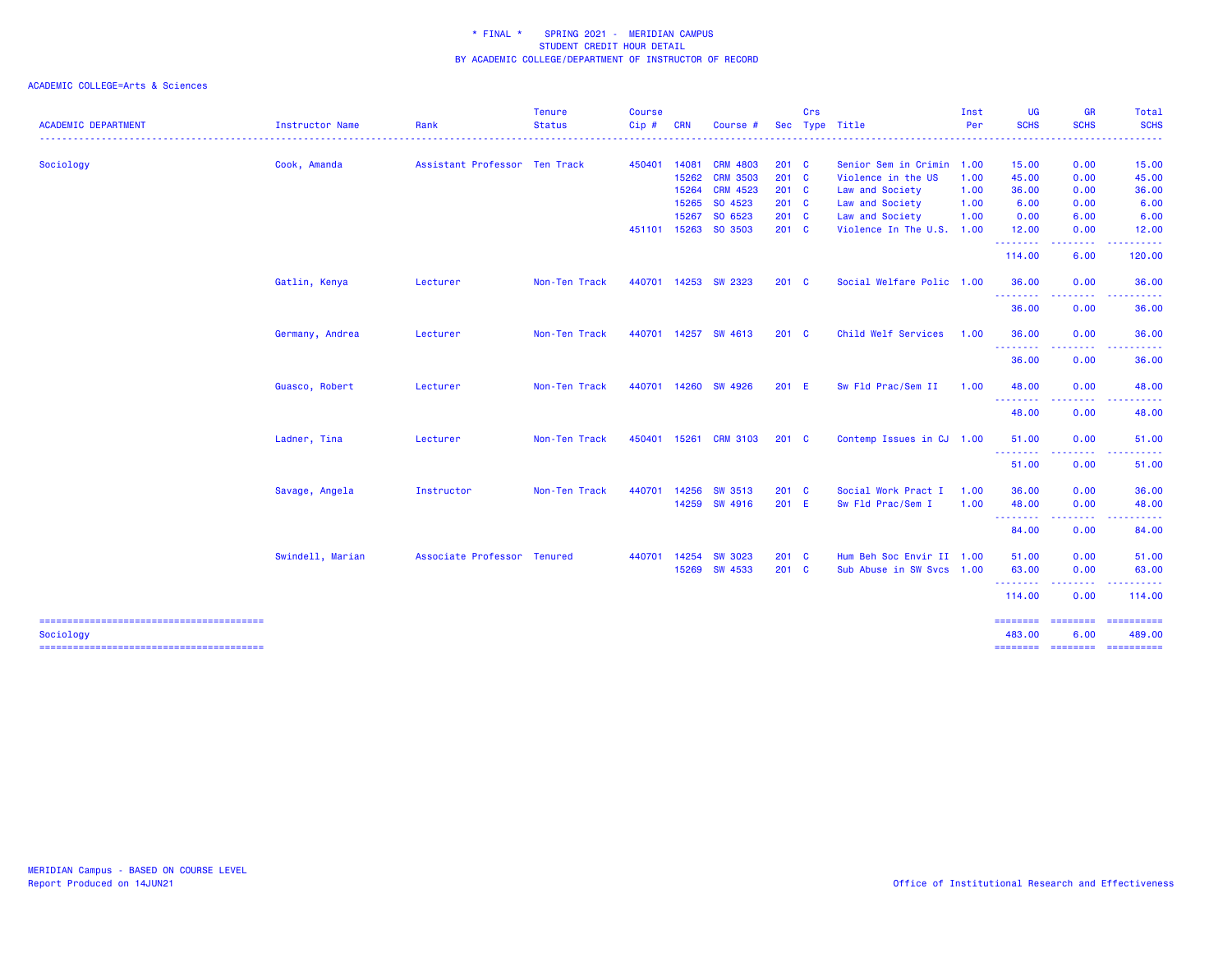|                            |                  |                               | <b>Tenure</b> | <b>Course</b> |            |                 |               | Crs |                           | Inst | <b>UG</b>                   | <b>GR</b>                                                                                                                         | Total                                                                                                                                                                                                                                                                                                                                                                                                                                                                                            |
|----------------------------|------------------|-------------------------------|---------------|---------------|------------|-----------------|---------------|-----|---------------------------|------|-----------------------------|-----------------------------------------------------------------------------------------------------------------------------------|--------------------------------------------------------------------------------------------------------------------------------------------------------------------------------------------------------------------------------------------------------------------------------------------------------------------------------------------------------------------------------------------------------------------------------------------------------------------------------------------------|
| <b>ACADEMIC DEPARTMENT</b> | Instructor Name  | Rank                          | <b>Status</b> | $Cip$ #       | <b>CRN</b> | Course #        | <b>Sec</b>    |     | Type Title                | Per  | <b>SCHS</b>                 | <b>SCHS</b>                                                                                                                       | <b>SCHS</b>                                                                                                                                                                                                                                                                                                                                                                                                                                                                                      |
| Sociology                  | Cook, Amanda     | Assistant Professor Ten Track |               | 450401        | 14081      | <b>CRM 4803</b> | $201 \quad C$ |     | Senior Sem in Crimin 1.00 |      | 15.00                       | 0.00                                                                                                                              | 15.00                                                                                                                                                                                                                                                                                                                                                                                                                                                                                            |
|                            |                  |                               |               |               | 15262      | <b>CRM 3503</b> | 201 C         |     | Violence in the US        | 1.00 | 45.00                       | 0.00                                                                                                                              | 45.00                                                                                                                                                                                                                                                                                                                                                                                                                                                                                            |
|                            |                  |                               |               |               | 15264      | <b>CRM 4523</b> | $201$ C       |     | Law and Society           | 1.00 | 36.00                       | 0.00                                                                                                                              | 36.00                                                                                                                                                                                                                                                                                                                                                                                                                                                                                            |
|                            |                  |                               |               |               | 15265      | SO 4523         | 201 C         |     | Law and Society           | 1.00 | 6.00                        | 0.00                                                                                                                              | 6.00                                                                                                                                                                                                                                                                                                                                                                                                                                                                                             |
|                            |                  |                               |               |               | 15267      | SO 6523         | 201 C         |     | Law and Society           | 1.00 | 0.00                        | 6.00                                                                                                                              | 6.00                                                                                                                                                                                                                                                                                                                                                                                                                                                                                             |
|                            |                  |                               |               | 451101        | 15263      | SO 3503         | 201 C         |     | Violence In The U.S. 1.00 |      | 12.00                       | 0.00                                                                                                                              | 12.00                                                                                                                                                                                                                                                                                                                                                                                                                                                                                            |
|                            |                  |                               |               |               |            |                 |               |     |                           |      | .<br>114.00                 | د د د د<br>6.00                                                                                                                   | .<br>120.00                                                                                                                                                                                                                                                                                                                                                                                                                                                                                      |
|                            | Gatlin, Kenya    | Lecturer                      | Non-Ten Track | 440701        |            | 14253 SW 2323   | $201 \quad C$ |     | Social Welfare Polic 1.00 |      | 36.00                       | 0.00                                                                                                                              | 36.00                                                                                                                                                                                                                                                                                                                                                                                                                                                                                            |
|                            |                  |                               |               |               |            |                 |               |     |                           |      | ---------                   | -----                                                                                                                             | .                                                                                                                                                                                                                                                                                                                                                                                                                                                                                                |
|                            |                  |                               |               |               |            |                 |               |     |                           |      | 36.00                       | 0.00                                                                                                                              | 36.00                                                                                                                                                                                                                                                                                                                                                                                                                                                                                            |
|                            | Germany, Andrea  | Lecturer                      | Non-Ten Track | 440701        |            | 14257 SW 4613   | $201 \quad C$ |     | Child Welf Services       | 1.00 | 36.00<br>.                  | 0.00<br>$\frac{1}{2} \left( \frac{1}{2} \right) \left( \frac{1}{2} \right) \left( \frac{1}{2} \right) \left( \frac{1}{2} \right)$ | 36.00                                                                                                                                                                                                                                                                                                                                                                                                                                                                                            |
|                            |                  |                               |               |               |            |                 |               |     |                           |      | 36.00                       | 0.00                                                                                                                              | 36.00                                                                                                                                                                                                                                                                                                                                                                                                                                                                                            |
|                            | Guasco, Robert   | Lecturer                      | Non-Ten Track | 440701        | 14260      | SW 4926         | 201 E         |     | Sw Fld Prac/Sem II        | 1.00 | 48.00                       | 0.00                                                                                                                              | 48.00                                                                                                                                                                                                                                                                                                                                                                                                                                                                                            |
|                            |                  |                               |               |               |            |                 |               |     |                           |      | .<br>48.00                  | 0.00                                                                                                                              | 48.00                                                                                                                                                                                                                                                                                                                                                                                                                                                                                            |
|                            | Ladner, Tina     | Lecturer                      | Non-Ten Track | 450401        | 15261      | <b>CRM 3103</b> | $201 \quad C$ |     | Contemp Issues in CJ 1.00 |      | 51.00                       | 0.00                                                                                                                              | 51.00                                                                                                                                                                                                                                                                                                                                                                                                                                                                                            |
|                            |                  |                               |               |               |            |                 |               |     |                           |      | <u>.</u><br>51.00           | 0.00                                                                                                                              | 51.00                                                                                                                                                                                                                                                                                                                                                                                                                                                                                            |
|                            | Savage, Angela   | Instructor                    | Non-Ten Track | 440701        | 14256      | SW 3513         | 201 C         |     | Social Work Pract I       | 1.00 | 36.00                       | 0.00                                                                                                                              | 36.00                                                                                                                                                                                                                                                                                                                                                                                                                                                                                            |
|                            |                  |                               |               |               |            | 14259 SW 4916   | 201 E         |     | Sw Fld Prac/Sem I         | 1.00 | 48.00<br>--------           | 0.00<br>.                                                                                                                         | 48.00                                                                                                                                                                                                                                                                                                                                                                                                                                                                                            |
|                            |                  |                               |               |               |            |                 |               |     |                           |      | 84.00                       | 0.00                                                                                                                              | 84.00                                                                                                                                                                                                                                                                                                                                                                                                                                                                                            |
|                            | Swindell, Marian | Associate Professor Tenured   |               | 440701        | 14254      | <b>SW 3023</b>  | $201 \quad C$ |     | Hum Beh Soc Envir II 1.00 |      | 51.00                       | 0.00                                                                                                                              | 51.00                                                                                                                                                                                                                                                                                                                                                                                                                                                                                            |
|                            |                  |                               |               |               |            | 15269 SW 4533   | 201 C         |     | Sub Abuse in SW Svcs 1.00 |      | 63.00<br>---------          | 0.00<br>.                                                                                                                         | 63.00                                                                                                                                                                                                                                                                                                                                                                                                                                                                                            |
|                            |                  |                               |               |               |            |                 |               |     |                           |      | 114.00                      | 0.00                                                                                                                              | 114.00                                                                                                                                                                                                                                                                                                                                                                                                                                                                                           |
| Sociology                  |                  |                               |               |               |            |                 |               |     |                           |      | ======== ========<br>483.00 | 6.00                                                                                                                              | $\begin{array}{cccccccccc} \multicolumn{2}{c}{} & \multicolumn{2}{c}{} & \multicolumn{2}{c}{} & \multicolumn{2}{c}{} & \multicolumn{2}{c}{} & \multicolumn{2}{c}{} & \multicolumn{2}{c}{} & \multicolumn{2}{c}{} & \multicolumn{2}{c}{} & \multicolumn{2}{c}{} & \multicolumn{2}{c}{} & \multicolumn{2}{c}{} & \multicolumn{2}{c}{} & \multicolumn{2}{c}{} & \multicolumn{2}{c}{} & \multicolumn{2}{c}{} & \multicolumn{2}{c}{} & \multicolumn{2}{c}{} & \multicolumn{2}{c}{} & \mult$<br>489.00 |
|                            |                  |                               |               |               |            |                 |               |     |                           |      | ========                    | <b>ESSESSES</b>                                                                                                                   | $\begin{array}{cccccccccc} \multicolumn{2}{c}{} & \multicolumn{2}{c}{} & \multicolumn{2}{c}{} & \multicolumn{2}{c}{} & \multicolumn{2}{c}{} & \multicolumn{2}{c}{} & \multicolumn{2}{c}{} & \multicolumn{2}{c}{} & \multicolumn{2}{c}{} & \multicolumn{2}{c}{} & \multicolumn{2}{c}{} & \multicolumn{2}{c}{} & \multicolumn{2}{c}{} & \multicolumn{2}{c}{} & \multicolumn{2}{c}{} & \multicolumn{2}{c}{} & \multicolumn{2}{c}{} & \multicolumn{2}{c}{} & \multicolumn{2}{c}{} & \mult$           |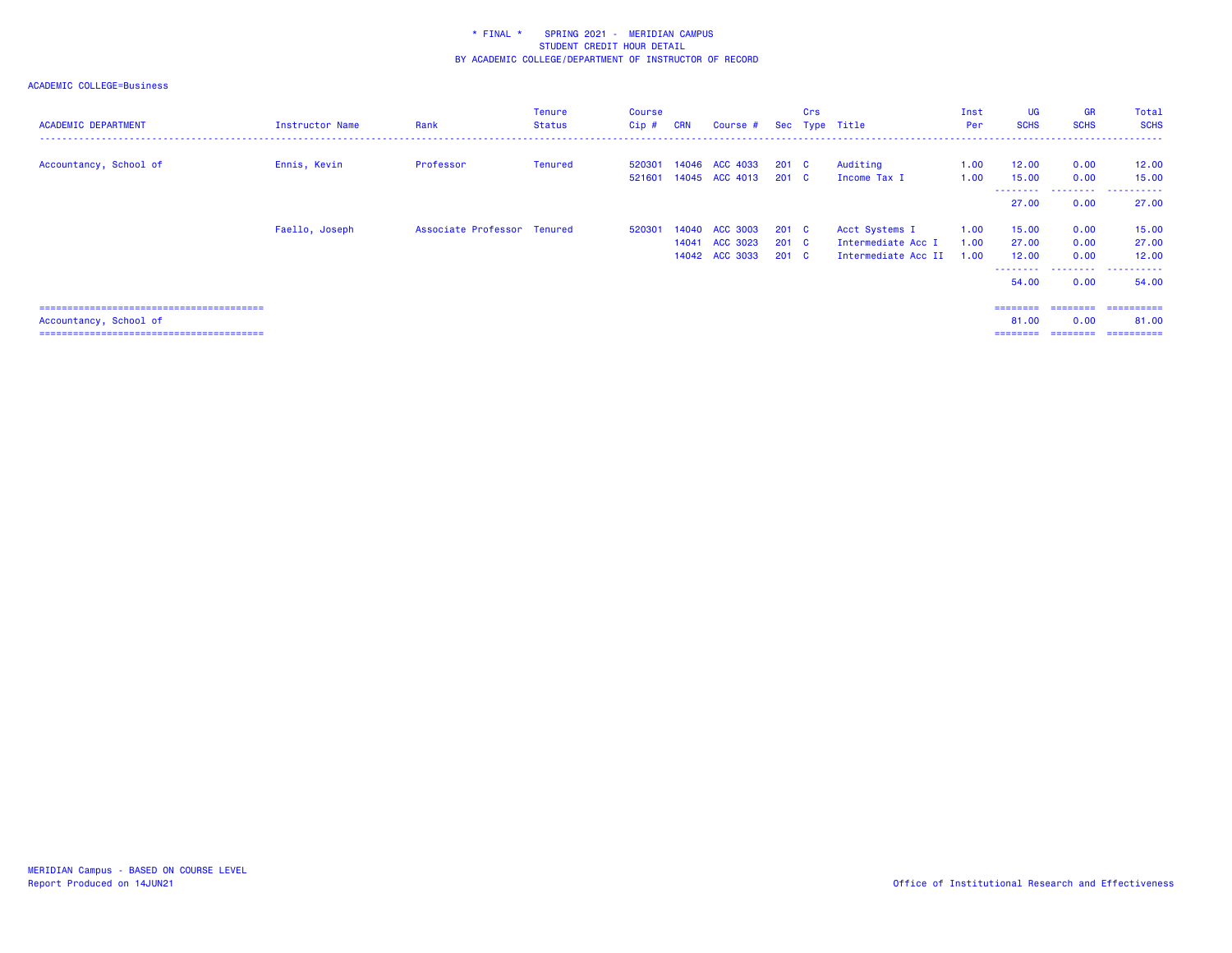| <b>ACADEMIC DEPARTMENT</b> | Instructor Name | Rank                        | <b>Tenure</b><br>Status | <b>Course</b><br>$Cip$ # | <b>CRN</b> | Course #       |               | Crs | Sec Type Title      | Inst<br>Per | <b>UG</b><br><b>SCHS</b> | <b>GR</b><br><b>SCHS</b> | Total<br><b>SCHS</b>              |
|----------------------------|-----------------|-----------------------------|-------------------------|--------------------------|------------|----------------|---------------|-----|---------------------|-------------|--------------------------|--------------------------|-----------------------------------|
| Accountancy, School of     | Ennis, Kevin    | Professor                   | <b>Tenured</b>          | 520301                   |            | 14046 ACC 4033 | $201$ C       |     | Auditing            | 1.00        | 12.00                    | 0.00                     | 12.00                             |
|                            |                 |                             |                         | 521601                   |            | 14045 ACC 4013 | $201 \quad C$ |     | Income Tax I        | 1.00        | 15.00<br>--------        | 0.00<br>.                | 15.00<br>. <u>.</u> .<br>$\cdots$ |
|                            |                 |                             |                         |                          |            |                |               |     |                     |             | 27.00                    | 0.00                     | 27.00                             |
|                            | Faello, Joseph  | Associate Professor Tenured |                         | 520301                   |            | 14040 ACC 3003 | $201$ C       |     | Acct Systems I      | 1.00        | 15.00                    | 0.00                     | 15.00                             |
|                            |                 |                             |                         |                          | 14041      | ACC 3023       | $201 \quad C$ |     | Intermediate Acc I  | 1.00        | 27.00                    | 0.00                     | 27.00                             |
|                            |                 |                             |                         |                          |            | 14042 ACC 3033 | $201$ C       |     | Intermediate Acc II | 1.00        | 12.00<br>---------       | 0.00<br>.                | 12.00<br>.                        |
|                            |                 |                             |                         |                          |            |                |               |     |                     |             | 54.00                    | 0.00                     | 54.00                             |
|                            |                 |                             |                         |                          |            |                |               |     |                     |             |                          | ========                 | -----------                       |
| Accountancy, School of     |                 |                             |                         |                          |            |                |               |     |                     |             | 81.00                    | 0.00                     | 81.00                             |
|                            |                 |                             |                         |                          |            |                |               |     |                     |             | =======                  | ========                 |                                   |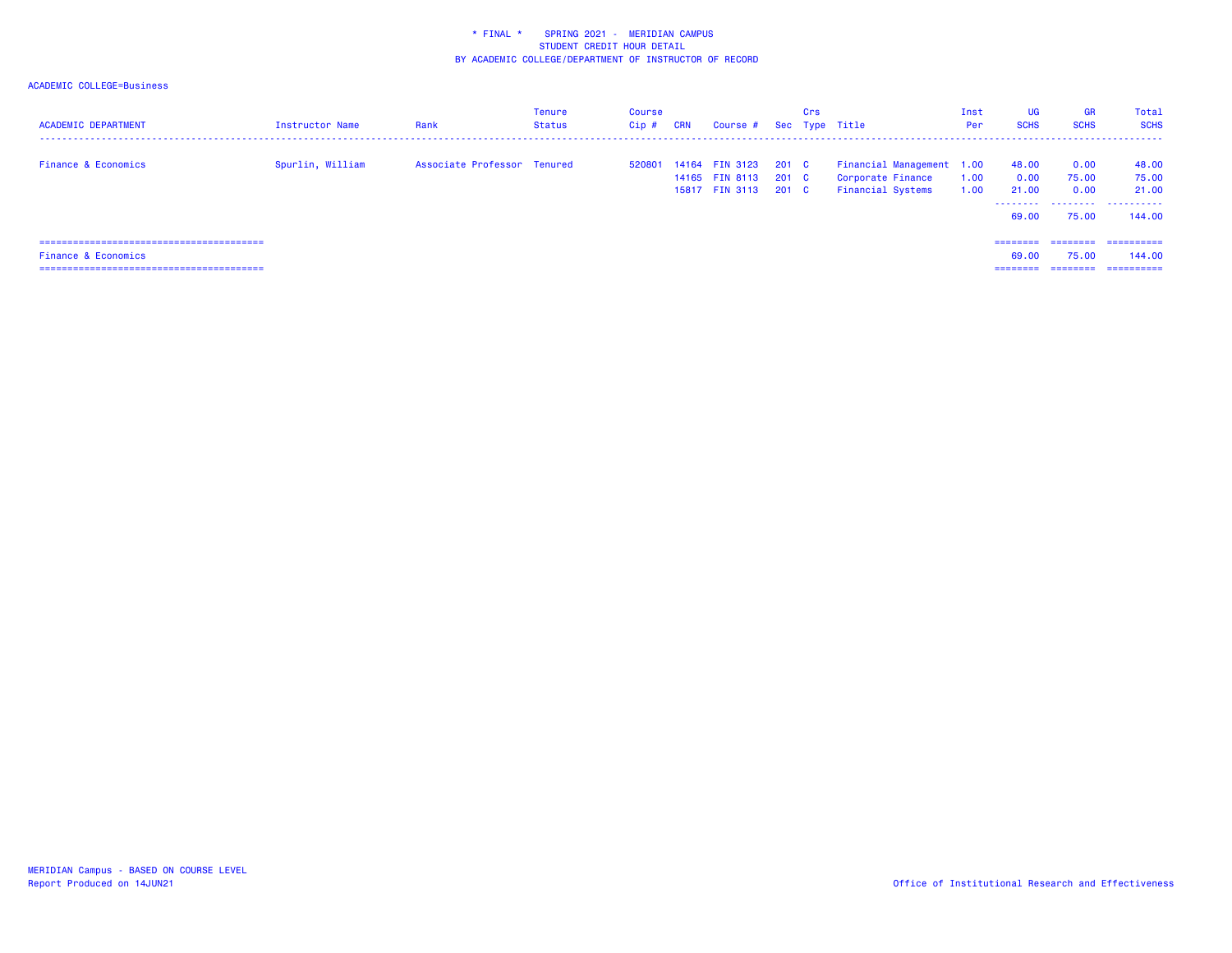| <b>ACADEMIC DEPARTMENT</b>     | <b>Instructor Name</b> | Rank                        | Tenure<br>Status | Course<br>Cip# | <b>CRN</b> | Course # Sec Type Title                            |                         | Crs |                                                                            | Inst<br>Per  | UG<br><b>SCHS</b>      | <b>GR</b><br><b>SCHS</b> | Total<br><b>SCHS</b>    |
|--------------------------------|------------------------|-----------------------------|------------------|----------------|------------|----------------------------------------------------|-------------------------|-----|----------------------------------------------------------------------------|--------------|------------------------|--------------------------|-------------------------|
| <b>Finance &amp; Economics</b> | Spurlin, William       | Associate Professor Tenured |                  | 520801         |            | 14164 FIN 3123<br>14165 FIN 8113<br>15817 FIN 3113 | 201 C<br>201 C<br>201 C |     | Financial Management 1.00<br>Corporate Finance<br><b>Financial Systems</b> | 1.00<br>1.00 | 48.00<br>0.00<br>21.00 | 0.00<br>75.00<br>0.00    | 48.00<br>75.00<br>21,00 |
|                                |                        |                             |                  |                |            |                                                    |                         |     |                                                                            |              | .<br>69.00             | 75.00                    | 144.00                  |
|                                |                        |                             |                  |                |            |                                                    |                         |     |                                                                            |              | ---------              |                          | -----------             |
| <b>Finance &amp; Economics</b> |                        |                             |                  |                |            |                                                    |                         |     |                                                                            |              | 69.00                  | 75.00                    | 144,00                  |
|                                |                        |                             |                  |                |            |                                                    |                         |     |                                                                            |              | ---------              | --------                 | -----------             |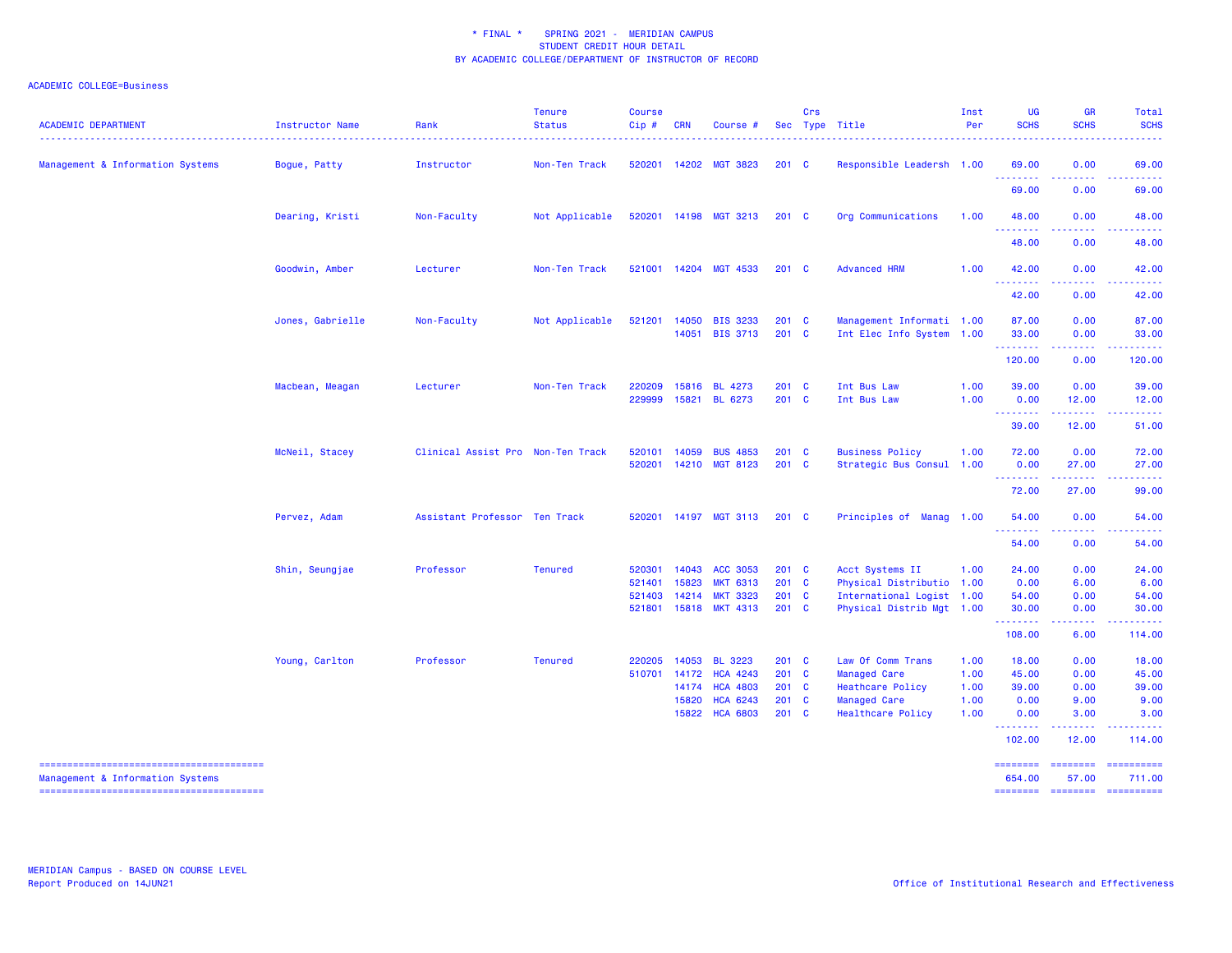| <b>ACADEMIC DEPARTMENT</b>       | <b>Instructor Name</b> | Rank                                                                                                                                                                                                                                                                             | <b>Tenure</b><br><b>Status</b> | <b>Course</b><br>Cip# | <b>CRN</b>     | Course #                           |                  | <b>Crs</b>   | Sec Type Title                                         | Inst<br>Per | UG<br><b>SCHS</b>  | GR<br><b>SCHS</b>              | <b>Total</b><br><b>SCHS</b><br>----                                                                                                                                                                                                                                                                                                                                                                                                                                                       |
|----------------------------------|------------------------|----------------------------------------------------------------------------------------------------------------------------------------------------------------------------------------------------------------------------------------------------------------------------------|--------------------------------|-----------------------|----------------|------------------------------------|------------------|--------------|--------------------------------------------------------|-------------|--------------------|--------------------------------|-------------------------------------------------------------------------------------------------------------------------------------------------------------------------------------------------------------------------------------------------------------------------------------------------------------------------------------------------------------------------------------------------------------------------------------------------------------------------------------------|
| Management & Information Systems | Bogue, Patty           | Instructor                                                                                                                                                                                                                                                                       | Non-Ten Track                  | 520201                |                | 14202 MGT 3823                     | 201 C            |              | Responsible Leadersh 1.00                              |             | 69.00              | 0.00                           | 69.00                                                                                                                                                                                                                                                                                                                                                                                                                                                                                     |
|                                  |                        |                                                                                                                                                                                                                                                                                  |                                |                       |                |                                    |                  |              |                                                        |             | 69.00              | 0.00                           | 69.00                                                                                                                                                                                                                                                                                                                                                                                                                                                                                     |
|                                  | Dearing, Kristi        | Non-Faculty                                                                                                                                                                                                                                                                      | Not Applicable                 | 520201                |                | 14198 MGT 3213                     | $201 \quad C$    |              | Org Communications                                     | 1.00        | 48.00<br><u>.</u>  | 0.00<br>.                      | 48.00<br>.                                                                                                                                                                                                                                                                                                                                                                                                                                                                                |
|                                  |                        |                                                                                                                                                                                                                                                                                  |                                |                       |                |                                    |                  |              |                                                        |             | 48.00              | 0.00                           | 48.00                                                                                                                                                                                                                                                                                                                                                                                                                                                                                     |
|                                  | Goodwin, Amber         | Lecturer                                                                                                                                                                                                                                                                         | Non-Ten Track                  | 521001                |                | 14204 MGT 4533                     | $201 \quad C$    |              | <b>Advanced HRM</b>                                    | 1.00        | 42.00<br>.         | 0.00                           | 42.00                                                                                                                                                                                                                                                                                                                                                                                                                                                                                     |
|                                  |                        |                                                                                                                                                                                                                                                                                  |                                |                       |                |                                    |                  |              |                                                        |             | 42.00              | 0.00                           | 42.00                                                                                                                                                                                                                                                                                                                                                                                                                                                                                     |
|                                  | Jones, Gabrielle       | Non-Faculty                                                                                                                                                                                                                                                                      | Not Applicable                 | 521201                | 14050<br>14051 | <b>BIS 3233</b><br><b>BIS 3713</b> | $201$ C<br>201 C |              | Management Informati 1.00<br>Int Elec Info System 1.00 |             | 87.00<br>33.00     | 0.00<br>0.00                   | 87.00<br>33.00                                                                                                                                                                                                                                                                                                                                                                                                                                                                            |
|                                  |                        |                                                                                                                                                                                                                                                                                  |                                |                       |                |                                    |                  |              |                                                        |             | .                  | .<br>0.00                      | .<br>120.00                                                                                                                                                                                                                                                                                                                                                                                                                                                                               |
|                                  |                        |                                                                                                                                                                                                                                                                                  |                                |                       |                |                                    |                  |              |                                                        |             |                    |                                |                                                                                                                                                                                                                                                                                                                                                                                                                                                                                           |
|                                  | Macbean, Meagan        |                                                                                                                                                                                                                                                                                  |                                | 229999                |                | BL 6273                            |                  |              | Int Bus Law                                            | 1.00        | 0.00               | 0.00<br>12.00                  | 39.00<br>12.00                                                                                                                                                                                                                                                                                                                                                                                                                                                                            |
|                                  |                        |                                                                                                                                                                                                                                                                                  |                                |                       |                |                                    |                  |              |                                                        |             | <u>.</u><br>39.00  | .<br>12.00                     | 51.00                                                                                                                                                                                                                                                                                                                                                                                                                                                                                     |
|                                  | McNeil, Stacey         |                                                                                                                                                                                                                                                                                  |                                | 520101                |                | <b>BUS 4853</b>                    |                  |              | <b>Business Policy</b>                                 | 1.00        | 72.00              | 0.00                           | 72.00                                                                                                                                                                                                                                                                                                                                                                                                                                                                                     |
|                                  |                        | 120.00<br>Non-Ten Track<br>220209<br>15816<br>BL 4273<br>201 C<br>Int Bus Law<br>1.00<br>39.00<br>Lecturer<br>201 C<br>15821<br>Clinical Assist Pro Non-Ten Track<br>14059<br>201 C<br>520201<br>14210<br><b>MGT 8123</b><br>201 C<br>Strategic Bus Consul 1.00<br>0.00<br>72.00 | 27.00<br>.                     | 27.00                 |                |                                    |                  |              |                                                        |             |                    |                                |                                                                                                                                                                                                                                                                                                                                                                                                                                                                                           |
|                                  |                        |                                                                                                                                                                                                                                                                                  |                                |                       |                |                                    |                  |              |                                                        |             |                    | 27.00                          | 99.00                                                                                                                                                                                                                                                                                                                                                                                                                                                                                     |
|                                  | Pervez, Adam           | Assistant Professor Ten Track                                                                                                                                                                                                                                                    |                                | 520201                | 14197          | <b>MGT 3113</b>                    | $201$ C          |              | Principles of Manag                                    | 1.00        | 54.00              | 0.00                           | 54.00                                                                                                                                                                                                                                                                                                                                                                                                                                                                                     |
|                                  |                        |                                                                                                                                                                                                                                                                                  |                                |                       |                |                                    |                  |              |                                                        |             | .<br>54.00         | .<br>0.00                      | 54.00                                                                                                                                                                                                                                                                                                                                                                                                                                                                                     |
|                                  | Shin, Seungjae         | Professor                                                                                                                                                                                                                                                                        | <b>Tenured</b>                 | 520301                | 14043          | <b>ACC 3053</b>                    | 201 C            |              | Acct Systems II                                        | 1.00        | 24.00              | 0.00                           | 24.00                                                                                                                                                                                                                                                                                                                                                                                                                                                                                     |
|                                  |                        |                                                                                                                                                                                                                                                                                  |                                | 521401                | 15823          | <b>MKT 6313</b>                    | 201 C            |              | Physical Distributio                                   | 1.00        | 0.00               | 6.00                           | 6.00                                                                                                                                                                                                                                                                                                                                                                                                                                                                                      |
|                                  |                        |                                                                                                                                                                                                                                                                                  |                                | 521403                | 14214          | <b>MKT 3323</b>                    | 201 C            |              | International Logist 1.00                              |             | 54.00              | 0.00                           | 54.00                                                                                                                                                                                                                                                                                                                                                                                                                                                                                     |
|                                  |                        |                                                                                                                                                                                                                                                                                  |                                | 521801                |                | 15818 MKT 4313                     | 201 C            |              | Physical Distrib Mgt 1.00                              |             | 30.00<br>.         | 0.00<br>$\omega$ is a $\omega$ | 30.00<br>.                                                                                                                                                                                                                                                                                                                                                                                                                                                                                |
|                                  |                        |                                                                                                                                                                                                                                                                                  |                                |                       |                |                                    |                  |              |                                                        |             | 108.00             | 6.00                           | 114.00                                                                                                                                                                                                                                                                                                                                                                                                                                                                                    |
|                                  | Young, Carlton         | Professor                                                                                                                                                                                                                                                                        | <b>Tenured</b>                 | 220205                | 14053          | <b>BL 3223</b>                     | 201 C            |              | Law Of Comm Trans                                      | 1.00        | 18.00              | 0.00                           | 18.00                                                                                                                                                                                                                                                                                                                                                                                                                                                                                     |
|                                  |                        |                                                                                                                                                                                                                                                                                  |                                | 510701                | 14172          | <b>HCA 4243</b>                    | 201              | $\mathbf{C}$ | <b>Managed Care</b>                                    | 1.00        | 45.00              | 0.00                           | 45.00                                                                                                                                                                                                                                                                                                                                                                                                                                                                                     |
|                                  |                        |                                                                                                                                                                                                                                                                                  |                                |                       | 14174          | <b>HCA 4803</b>                    | 201 C            |              | <b>Heathcare Policy</b>                                | 1.00        | 39.00              | 0.00                           | 39.00                                                                                                                                                                                                                                                                                                                                                                                                                                                                                     |
|                                  |                        |                                                                                                                                                                                                                                                                                  |                                |                       | 15820          | <b>HCA 6243</b>                    | 201              | $\mathbf c$  | <b>Managed Care</b>                                    | 1.00        | 0.00               | 9.00                           | 9.00                                                                                                                                                                                                                                                                                                                                                                                                                                                                                      |
|                                  |                        |                                                                                                                                                                                                                                                                                  |                                |                       | 15822          | <b>HCA 6803</b>                    | 201 C            |              | Healthcare Policy                                      | 1.00        | 0.00<br>.          | 3.00                           | 3.00                                                                                                                                                                                                                                                                                                                                                                                                                                                                                      |
|                                  |                        |                                                                                                                                                                                                                                                                                  |                                |                       |                |                                    |                  |              |                                                        |             | 102.00             | 12.00                          | 114.00                                                                                                                                                                                                                                                                                                                                                                                                                                                                                    |
| Management & Information Systems |                        |                                                                                                                                                                                                                                                                                  |                                |                       |                |                                    |                  |              |                                                        |             | ========<br>654.00 | <b>EDESSERS</b><br>57.00       | ==========<br>711.00                                                                                                                                                                                                                                                                                                                                                                                                                                                                      |
|                                  |                        |                                                                                                                                                                                                                                                                                  |                                |                       |                |                                    |                  |              |                                                        |             | ========           | <b>ESSESSE</b>                 | $\begin{minipage}{0.03\linewidth} \begin{tabular}{l} \multicolumn{2}{l}{} & \multicolumn{2}{l}{} & \multicolumn{2}{l}{} \\ \multicolumn{2}{l}{} & \multicolumn{2}{l}{} & \multicolumn{2}{l}{} \\ \multicolumn{2}{l}{} & \multicolumn{2}{l}{} & \multicolumn{2}{l}{} \\ \multicolumn{2}{l}{} & \multicolumn{2}{l}{} & \multicolumn{2}{l}{} \\ \multicolumn{2}{l}{} & \multicolumn{2}{l}{} & \multicolumn{2}{l}{} \\ \multicolumn{2}{l}{} & \multicolumn{2}{l}{} & \multicolumn{2}{l}{} \\$ |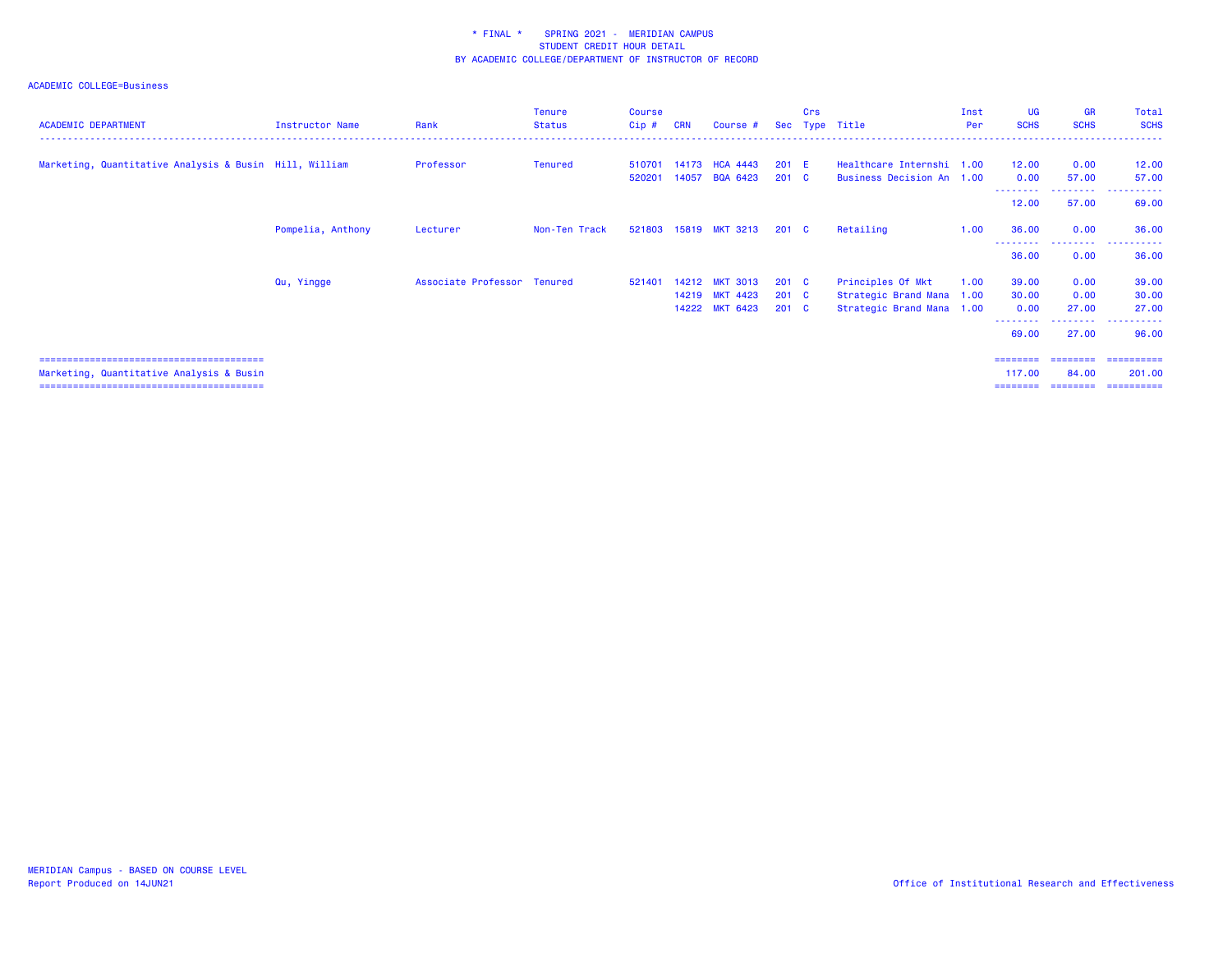| <b>ACADEMIC DEPARTMENT</b>                             | Instructor Name   | Rank                | <b>Tenure</b><br><b>Status</b> | Course<br>Cip# | <b>CRN</b> | Course #              |               | Crs | Sec Type Title            | Inst<br>Per | <b>UG</b><br><b>SCHS</b>     | <b>GR</b><br><b>SCHS</b> | Total<br><b>SCHS</b>  |
|--------------------------------------------------------|-------------------|---------------------|--------------------------------|----------------|------------|-----------------------|---------------|-----|---------------------------|-------------|------------------------------|--------------------------|-----------------------|
| Marketing, Quantitative Analysis & Busin Hill, William |                   | Professor           | Tenured                        | 510701         |            | 14173 HCA 4443        | $201$ E       |     | Healthcare Internshi 1.00 |             | 12.00                        | 0.00                     | 12.00                 |
|                                                        |                   |                     |                                | 520201         | 14057      | <b>BQA 6423</b>       | $201 \quad C$ |     | Business Decision An 1.00 |             | 0.00                         | 57.00                    | 57.00                 |
|                                                        |                   |                     |                                |                |            |                       |               |     |                           |             | 12.00                        | 57.00                    | 69.00                 |
|                                                        | Pompelia, Anthony | Lecturer            | Non-Ten Track                  |                |            | 521803 15819 MKT 3213 | $201 \quad C$ |     | Retailing                 | 1.00        | 36.00                        | 0.00                     | 36.00                 |
|                                                        |                   |                     |                                |                |            |                       |               |     |                           |             | 36.00                        | --------<br>0.00         | 36.00                 |
|                                                        | Qu, Yingge        | Associate Professor | Tenured                        | 521401         |            | 14212 MKT 3013        | 201 C         |     | Principles Of Mkt         | 1.00        | 39.00                        | 0.00                     | 39.00                 |
|                                                        |                   |                     |                                |                |            | 14219 MKT 4423        | $201 \quad C$ |     | Strategic Brand Mana 1.00 |             | 30.00                        | 0.00                     | 30.00                 |
|                                                        |                   |                     |                                |                |            | 14222 MKT 6423        | $201 \quad C$ |     | Strategic Brand Mana 1.00 |             | 0.00                         | 27.00                    | 27.00                 |
|                                                        |                   |                     |                                |                |            |                       |               |     |                           |             | --------<br>69.00            | ---------<br>27.00       | .<br>96.00            |
|                                                        |                   |                     |                                |                |            |                       |               |     |                           |             | ========                     | ========                 | ==========            |
| Marketing, Quantitative Analysis & Busin               |                   |                     |                                |                |            |                       |               |     |                           |             | 117,00<br>========= ======== | 84.00                    | 201.00<br>----------- |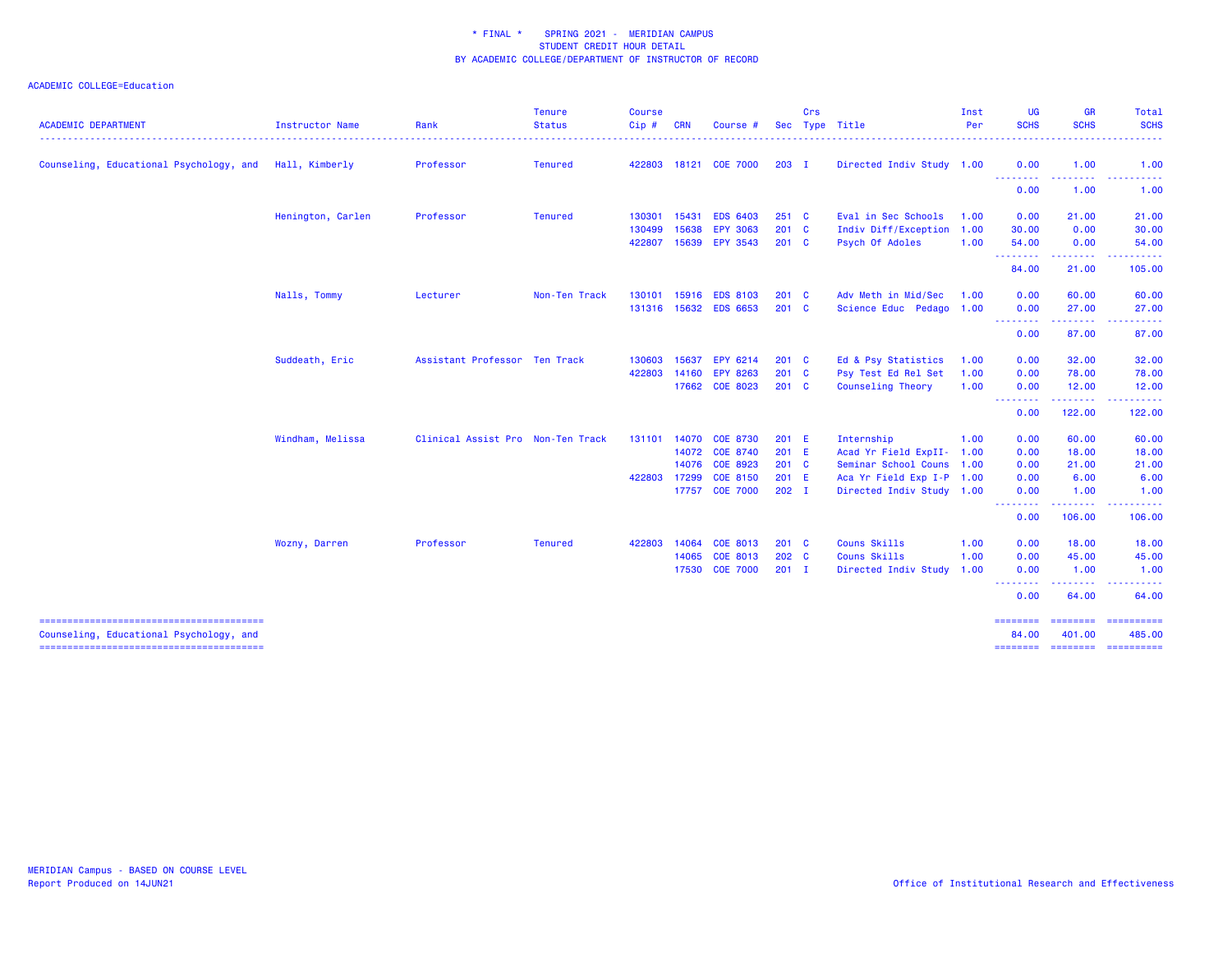| <b>ACADEMIC DEPARTMENT</b>              | Instructor Name   | Rank                              | <b>Tenure</b><br><b>Status</b> | <b>Course</b><br>Cip# | <b>CRN</b> | Course #        |               | Crs | Sec Type Title            | Inst<br><b>Per</b> | UG<br><b>SCHS</b>       | <b>GR</b><br><b>SCHS</b>                                                                                                                                     | Total<br><b>SCHS</b><br>.     |
|-----------------------------------------|-------------------|-----------------------------------|--------------------------------|-----------------------|------------|-----------------|---------------|-----|---------------------------|--------------------|-------------------------|--------------------------------------------------------------------------------------------------------------------------------------------------------------|-------------------------------|
| Counseling, Educational Psychology, and | Hall, Kimberly    | Professor                         | <b>Tenured</b>                 | 422803                |            | 18121 COE 7000  | $203$ I       |     | Directed Indiv Study 1.00 |                    | 0.00                    | 1.00                                                                                                                                                         | 1.00                          |
|                                         |                   |                                   |                                |                       |            |                 |               |     |                           |                    | <b>.</b> .<br>0.00      | $\frac{1}{2} \left( \frac{1}{2} \right) \left( \frac{1}{2} \right) \left( \frac{1}{2} \right) \left( \frac{1}{2} \right) \left( \frac{1}{2} \right)$<br>1.00 | .<br>1.00                     |
|                                         | Henington, Carlen | Professor                         | <b>Tenured</b>                 | 130301                | 15431      | <b>EDS 6403</b> | 251 C         |     | Eval in Sec Schools       | 1.00               | 0.00                    | 21.00                                                                                                                                                        | 21.00                         |
|                                         |                   |                                   |                                | 130499                | 15638      | <b>EPY 3063</b> | 201 C         |     | Indiv Diff/Exception      | 1.00               | 30.00                   | 0.00                                                                                                                                                         | 30.00                         |
|                                         |                   |                                   |                                | 422807                |            | 15639 EPY 3543  | $201$ C       |     | Psych Of Adoles           | 1.00               | 54.00<br>.              | 0.00<br>.                                                                                                                                                    | 54.00<br>.                    |
|                                         |                   |                                   |                                |                       |            |                 |               |     |                           |                    | 84.00                   | 21.00                                                                                                                                                        | 105.00                        |
|                                         | Nalls, Tommy      | Lecturer                          | Non-Ten Track                  | 130101                | 15916      | <b>EDS 8103</b> | $201$ C       |     | Adv Meth in Mid/Sec       | 1.00               | 0.00                    | 60.00                                                                                                                                                        | 60.00                         |
|                                         |                   |                                   |                                | 131316                |            | 15632 EDS 6653  | 201 C         |     | Science Educ Pedago       | 1.00               | 0.00                    | 27.00                                                                                                                                                        | 27.00                         |
|                                         |                   |                                   |                                |                       |            |                 |               |     |                           |                    | .<br>0.00               | .<br>87.00                                                                                                                                                   | 87.00                         |
|                                         | Suddeath, Eric    | Assistant Professor Ten Track     |                                | 130603                | 15637      | EPY 6214        | 201 C         |     | Ed & Psy Statistics       | 1.00               | 0.00                    | 32.00                                                                                                                                                        | 32.00                         |
|                                         |                   |                                   |                                | 422803                | 14160      | <b>EPY 8263</b> | 201 C         |     | Psy Test Ed Rel Set       | 1.00               | 0.00                    | 78.00                                                                                                                                                        | 78.00                         |
|                                         |                   |                                   |                                |                       |            | 17662 COE 8023  | $201 \quad C$ |     | Counseling Theory         | 1.00               | 0.00<br><u>.</u>        | 12.00<br>المستملك والمنافذ                                                                                                                                   | 12.00<br><u>.</u>             |
|                                         |                   |                                   |                                |                       |            |                 |               |     |                           |                    | 0.00                    | 122.00                                                                                                                                                       | 122.00                        |
|                                         | Windham, Melissa  | Clinical Assist Pro Non-Ten Track |                                | 131101                | 14070      | <b>COE 8730</b> | 201 E         |     | Internship                | 1.00               | 0.00                    | 60.00                                                                                                                                                        | 60.00                         |
|                                         |                   |                                   |                                |                       |            | 14072 COE 8740  | 201 E         |     | Acad Yr Field ExpII-      | 1.00               | 0.00                    | 18.00                                                                                                                                                        | 18.00                         |
|                                         |                   |                                   |                                |                       | 14076      | COE 8923        | 201 C         |     | Seminar School Couns 1.00 |                    | 0.00                    | 21.00                                                                                                                                                        | 21.00                         |
|                                         |                   |                                   |                                | 422803                | 17299      | COE 8150        | 201 E         |     | Aca Yr Field Exp I-P 1.00 |                    | 0.00                    | 6.00                                                                                                                                                         | 6.00                          |
|                                         |                   |                                   |                                |                       |            | 17757 COE 7000  | $202$ I       |     | Directed Indiv Study 1.00 |                    | 0.00<br><u>.</u>        | 1.00<br>.                                                                                                                                                    | 1.00<br>$- - - - - - -$       |
|                                         |                   |                                   |                                |                       |            |                 |               |     |                           |                    | 0.00                    | 106.00                                                                                                                                                       | 106.00                        |
|                                         | Wozny, Darren     | Professor                         | <b>Tenured</b>                 | 422803                | 14064      | <b>COE 8013</b> | $201 \quad C$ |     | Couns Skills              | 1.00               | 0.00                    | 18.00                                                                                                                                                        | 18.00                         |
|                                         |                   |                                   |                                |                       | 14065      | <b>COE 8013</b> | 202 C         |     | Couns Skills              | 1.00               | 0.00                    | 45.00                                                                                                                                                        | 45.00                         |
|                                         |                   |                                   |                                |                       |            | 17530 COE 7000  | $201$ I       |     | Directed Indiv Study      | 1.00               | 0.00<br>- - - - - - - - | 1.00<br>. <u>.</u> .                                                                                                                                         | 1.00<br>. <b>.</b>            |
|                                         |                   |                                   |                                |                       |            |                 |               |     |                           |                    | 0.00                    | 64.00                                                                                                                                                        | 64.00                         |
|                                         |                   |                                   |                                |                       |            |                 |               |     |                           |                    | ========<br>84.00       | 401.00                                                                                                                                                       | ======== ==========<br>485.00 |
| Counseling, Educational Psychology, and |                   |                                   |                                |                       |            |                 |               |     |                           |                    | <b>SESSESSE</b>         | ======== ==========                                                                                                                                          |                               |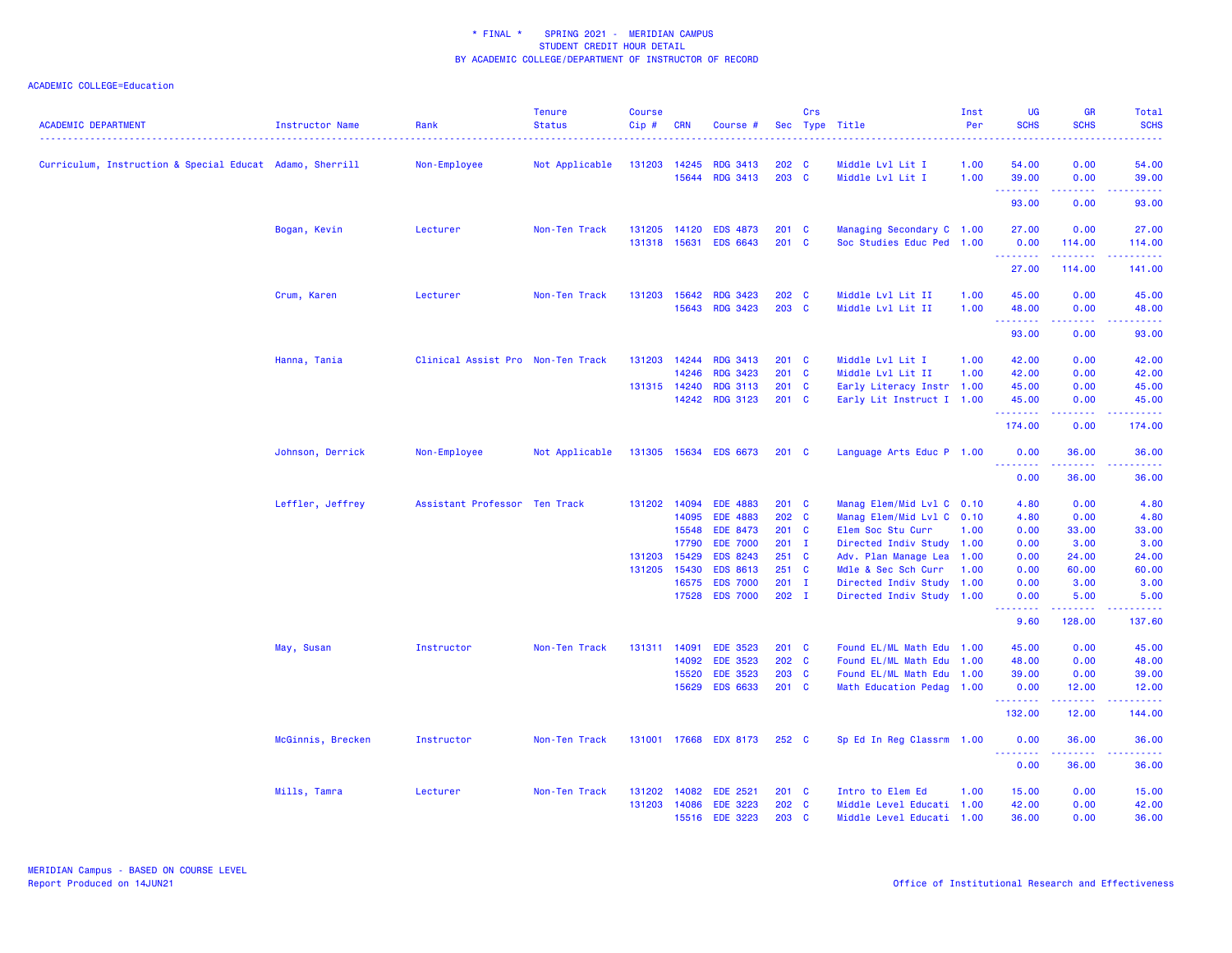| <b>ACADEMIC DEPARTMENT</b>                               | Instructor Name   | Rank                              | <b>Tenure</b><br><b>Status</b> | <b>Course</b><br>Cip#            | <b>CRN</b>                                         | Course #                                                                                                                                            |                                                                              | Crs | Sec Type Title                                                                                                                                                                                                         | Inst<br>Per  | UG<br><b>SCHS</b>                                                    | <b>GR</b><br><b>SCHS</b>                                                           | Total<br><b>SCHS</b><br>$\frac{1}{2} \left( \frac{1}{2} \right) \left( \frac{1}{2} \right) \left( \frac{1}{2} \right) \left( \frac{1}{2} \right)$                      |
|----------------------------------------------------------|-------------------|-----------------------------------|--------------------------------|----------------------------------|----------------------------------------------------|-----------------------------------------------------------------------------------------------------------------------------------------------------|------------------------------------------------------------------------------|-----|------------------------------------------------------------------------------------------------------------------------------------------------------------------------------------------------------------------------|--------------|----------------------------------------------------------------------|------------------------------------------------------------------------------------|------------------------------------------------------------------------------------------------------------------------------------------------------------------------|
| Curriculum, Instruction & Special Educat Adamo, Sherrill |                   | Non-Employee                      | Not Applicable                 | 131203                           | 14245<br>15644                                     | <b>RDG 3413</b><br><b>RDG 3413</b>                                                                                                                  | 202 C<br>203 C                                                               |     | Middle Lvl Lit I<br>Middle Lvl Lit I                                                                                                                                                                                   | 1.00<br>1.00 | 54.00<br>39.00                                                       | 0.00<br>0.00                                                                       | 54.00<br>39.00                                                                                                                                                         |
|                                                          |                   |                                   |                                |                                  |                                                    |                                                                                                                                                     |                                                                              |     |                                                                                                                                                                                                                        |              | .<br>93.00                                                           | $\sim$ $\sim$ $\sim$ $\sim$<br>0.00                                                | .<br>93.00                                                                                                                                                             |
|                                                          | Bogan, Kevin      | Lecturer                          | Non-Ten Track                  | 131205<br>131318                 | 14120<br>15631                                     | <b>EDS 4873</b><br><b>EDS 6643</b>                                                                                                                  | $201 \quad C$<br>201 C                                                       |     | Managing Secondary C 1.00<br>Soc Studies Educ Ped                                                                                                                                                                      | 1.00         | 27.00<br>0.00<br>.                                                   | 0.00<br>114.00<br>222222                                                           | 27.00<br>114.00<br>وبالمستمات                                                                                                                                          |
|                                                          |                   |                                   |                                |                                  |                                                    |                                                                                                                                                     |                                                                              |     |                                                                                                                                                                                                                        |              | 27.00                                                                | 114.00                                                                             | 141.00                                                                                                                                                                 |
|                                                          | Crum, Karen       | Lecturer                          | Non-Ten Track                  | 131203                           | 15642<br>15643                                     | <b>RDG 3423</b><br><b>RDG 3423</b>                                                                                                                  | 202 C<br>203 C                                                               |     | Middle Lvl Lit II<br>Middle Lvl Lit II                                                                                                                                                                                 | 1.00<br>1.00 | 45.00<br>48.00                                                       | 0.00<br>0.00<br>.                                                                  | 45.00<br>48.00                                                                                                                                                         |
|                                                          |                   |                                   |                                |                                  |                                                    |                                                                                                                                                     |                                                                              |     |                                                                                                                                                                                                                        |              | .<br>93.00                                                           | 0.00                                                                               | .<br>93.00                                                                                                                                                             |
|                                                          | Hanna, Tania      | Clinical Assist Pro Non-Ten Track |                                | 131203<br>131315 14240           | 14244<br>14246<br>14242                            | <b>RDG 3413</b><br><b>RDG 3423</b><br><b>RDG 3113</b><br><b>RDG 3123</b>                                                                            | 201 C<br>201 C<br>201 C<br>201 C                                             |     | Middle Lvl Lit I<br>Middle Lvl Lit II<br>Early Literacy Instr 1.00<br>Early Lit Instruct I 1.00                                                                                                                        | 1.00<br>1.00 | 42.00<br>42.00<br>45.00<br>45.00<br>.<br>174.00                      | 0.00<br>0.00<br>0.00<br>0.00<br>.<br>0.00                                          | 42.00<br>42.00<br>45.00<br>45.00<br>المتمامين<br>174.00                                                                                                                |
|                                                          | Johnson, Derrick  | Non-Employee                      | Not Applicable                 | 131305                           |                                                    | 15634 EDS 6673                                                                                                                                      | 201 C                                                                        |     | Language Arts Educ P 1.00                                                                                                                                                                                              |              | 0.00                                                                 | 36.00                                                                              | 36.00                                                                                                                                                                  |
|                                                          |                   |                                   |                                |                                  |                                                    |                                                                                                                                                     |                                                                              |     |                                                                                                                                                                                                                        |              | .<br>0.00                                                            | .<br>36.00                                                                         | 36.00                                                                                                                                                                  |
|                                                          | Leffler, Jeffrey  | Assistant Professor Ten Track     |                                | 131202 14094<br>131203<br>131205 | 14095<br>15548<br>17790<br>15429<br>15430<br>16575 | <b>EDE 4883</b><br><b>EDE 4883</b><br><b>EDE 8473</b><br><b>EDE 7000</b><br><b>EDS 8243</b><br><b>EDS 8613</b><br><b>EDS 7000</b><br>17528 EDS 7000 | 201 C<br>202 C<br>201 C<br>$201$ I<br>$251$ C<br>251 C<br>$201$ I<br>$202$ I |     | Manag Elem/Mid Lvl C 0.10<br>Manag Elem/Mid Lvl C 0.10<br>Elem Soc Stu Curr<br>Directed Indiv Study 1.00<br>Adv. Plan Manage Lea 1.00<br>Mdle & Sec Sch Curr<br>Directed Indiv Study 1.00<br>Directed Indiv Study 1.00 | 1.00<br>1.00 | 4.80<br>4.80<br>0.00<br>0.00<br>0.00<br>0.00<br>0.00<br>0.00<br>9.60 | 0.00<br>0.00<br>33.00<br>3.00<br>24.00<br>60.00<br>3.00<br>5.00<br>2222.<br>128.00 | 4.80<br>4.80<br>33.00<br>3.00<br>24.00<br>60.00<br>3.00<br>5.00<br>.<br>137.60                                                                                         |
|                                                          | May, Susan        | Instructor                        | Non-Ten Track                  | 131311                           | 14091<br>14092<br>15520<br>15629                   | <b>EDE 3523</b><br><b>EDE 3523</b><br><b>EDE 3523</b><br><b>EDS 6633</b>                                                                            | 201 C<br>202 C<br>203 C<br>201 C                                             |     | Found EL/ML Math Edu 1.00<br>Found EL/ML Math Edu 1.00<br>Found EL/ML Math Edu 1.00<br>Math Education Pedag 1.00                                                                                                       |              | 45.00<br>48.00<br>39.00<br>0.00<br>.                                 | 0.00<br>0.00<br>0.00<br>12.00<br>22222                                             | 45.00<br>48.00<br>39.00<br>12.00<br>.                                                                                                                                  |
|                                                          |                   |                                   |                                |                                  |                                                    |                                                                                                                                                     |                                                                              |     |                                                                                                                                                                                                                        |              | 132.00                                                               | 12.00                                                                              | 144.00                                                                                                                                                                 |
|                                                          | McGinnis, Brecken | Instructor                        | Non-Ten Track                  | 131001                           |                                                    | 17668 EDX 8173                                                                                                                                      | 252 C                                                                        |     | Sp Ed In Reg Classrm 1.00                                                                                                                                                                                              |              | 0.00<br><u> - - - - - - - -</u><br>0.00                              | 36.00<br><u>.</u><br>36.00                                                         | 36.00<br>$\frac{1}{2} \left( \frac{1}{2} \right) \left( \frac{1}{2} \right) \left( \frac{1}{2} \right) \left( \frac{1}{2} \right) \left( \frac{1}{2} \right)$<br>36.00 |
|                                                          | Mills, Tamra      | Lecturer                          | Non-Ten Track                  | 131202<br>131203                 | 14082<br>14086                                     | <b>EDE 2521</b><br><b>EDE 3223</b><br>15516 EDE 3223                                                                                                | $201 \quad C$<br>202 C<br>203 C                                              |     | Intro to Elem Ed<br>Middle Level Educati 1.00<br>Middle Level Educati 1.00                                                                                                                                             | 1.00         | 15.00<br>42.00<br>36.00                                              | 0.00<br>0.00<br>0.00                                                               | 15.00<br>42.00<br>36.00                                                                                                                                                |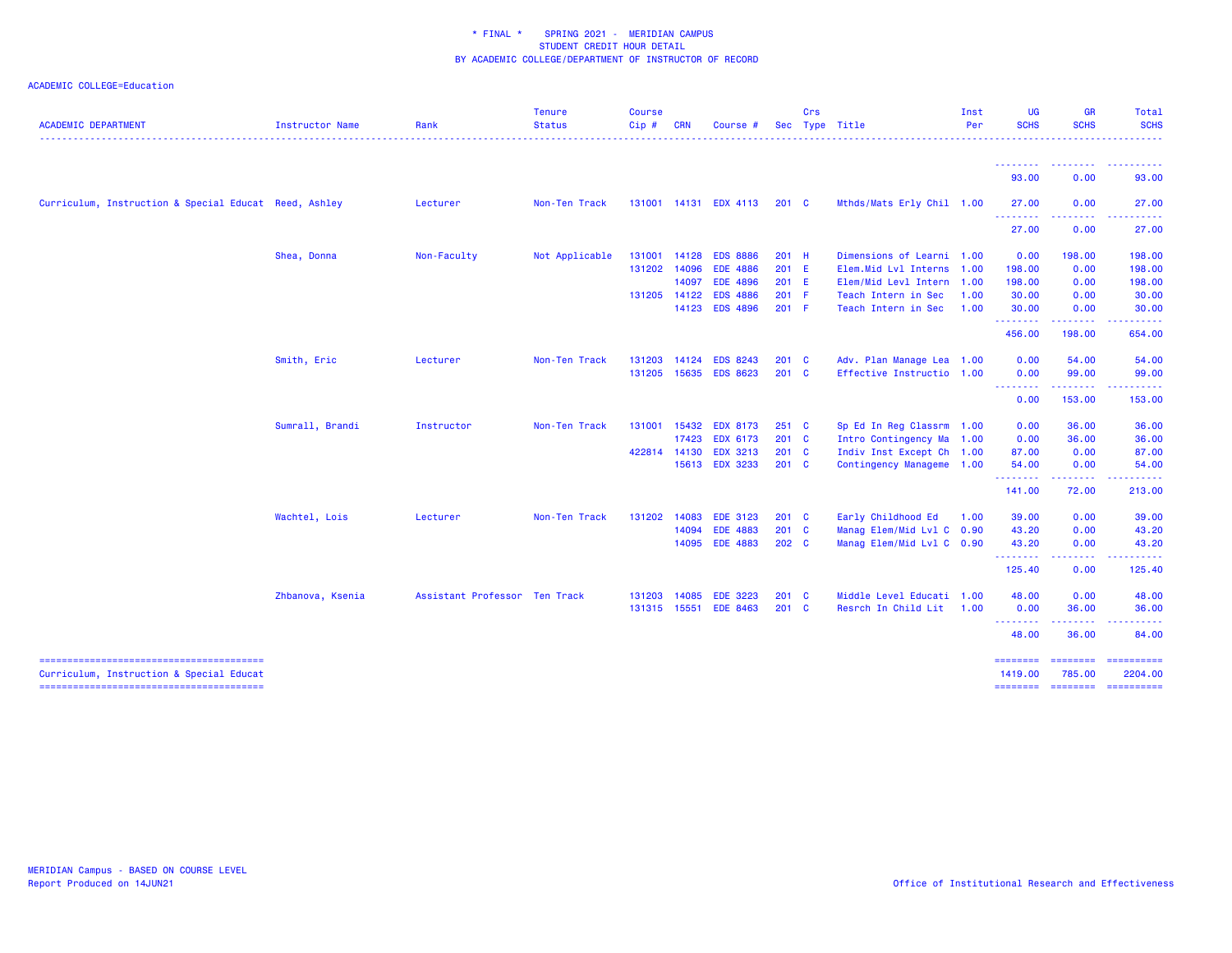| <b>ACADEMIC DEPARTMENT</b>                            | Instructor Name  | Rank                          | <b>Tenure</b><br><b>Status</b> | <b>Course</b><br>Cip# | <b>CRN</b> | Course #        |               | Crs      | Sec Type Title            | Inst<br>Per | <b>UG</b><br><b>SCHS</b>                           | <b>GR</b><br><b>SCHS</b> | Total<br><b>SCHS</b>                                                                                                                                                                                                                                                                                                                                                                                                                                                                   |
|-------------------------------------------------------|------------------|-------------------------------|--------------------------------|-----------------------|------------|-----------------|---------------|----------|---------------------------|-------------|----------------------------------------------------|--------------------------|----------------------------------------------------------------------------------------------------------------------------------------------------------------------------------------------------------------------------------------------------------------------------------------------------------------------------------------------------------------------------------------------------------------------------------------------------------------------------------------|
|                                                       |                  |                               |                                |                       |            |                 |               |          |                           |             | - - - - - - - -                                    |                          |                                                                                                                                                                                                                                                                                                                                                                                                                                                                                        |
|                                                       |                  |                               |                                |                       |            |                 |               |          |                           |             | 93.00                                              | 0.00                     | 93.00                                                                                                                                                                                                                                                                                                                                                                                                                                                                                  |
| Curriculum, Instruction & Special Educat Reed, Ashley |                  | Lecturer                      | Non-Ten Track                  | 131001                |            | 14131 EDX 4113  | 201 C         |          | Mthds/Mats Erly Chil 1.00 |             | 27.00                                              | 0.00                     | 27.00                                                                                                                                                                                                                                                                                                                                                                                                                                                                                  |
|                                                       |                  |                               |                                |                       |            |                 |               |          |                           |             | .<br>27.00                                         | 0.00                     | 27.00                                                                                                                                                                                                                                                                                                                                                                                                                                                                                  |
|                                                       | Shea, Donna      | Non-Faculty                   | Not Applicable                 | 131001                | 14128      | <b>EDS 8886</b> | 201 H         |          | Dimensions of Learni 1.00 |             | 0.00                                               | 198.00                   | 198.00                                                                                                                                                                                                                                                                                                                                                                                                                                                                                 |
|                                                       |                  |                               |                                | 131202                | 14096      | <b>EDE 4886</b> | 201 E         |          | Elem.Mid Lvl Interns      | 1.00        | 198.00                                             | 0.00                     | 198.00                                                                                                                                                                                                                                                                                                                                                                                                                                                                                 |
|                                                       |                  |                               |                                |                       | 14097      | <b>EDE 4896</b> | 201 E         |          | Elem/Mid Levl Intern 1.00 |             | 198.00                                             | 0.00                     | 198.00                                                                                                                                                                                                                                                                                                                                                                                                                                                                                 |
|                                                       |                  |                               |                                | 131205                | 14122      | <b>EDS 4886</b> | 201 F         |          | Teach Intern in Sec       | 1.00        | 30.00                                              | 0.00                     | 30.00                                                                                                                                                                                                                                                                                                                                                                                                                                                                                  |
|                                                       |                  |                               |                                |                       |            | 14123 EDS 4896  | 201 F         |          | Teach Intern in Sec       | 1.00        | 30.00<br>.                                         | 0.00                     | 30.00                                                                                                                                                                                                                                                                                                                                                                                                                                                                                  |
|                                                       |                  |                               |                                |                       |            |                 |               |          |                           |             | 456.00                                             | 198.00                   | 654.00                                                                                                                                                                                                                                                                                                                                                                                                                                                                                 |
|                                                       | Smith, Eric      | Lecturer                      | Non-Ten Track                  | 131203                | 14124      | <b>EDS 8243</b> | 201           | <b>C</b> | Adv. Plan Manage Lea 1.00 |             | 0.00                                               | 54.00                    | 54.00                                                                                                                                                                                                                                                                                                                                                                                                                                                                                  |
|                                                       |                  |                               |                                | 131205                |            | 15635 EDS 8623  | $201 \quad C$ |          | Effective Instructio 1.00 |             | 0.00<br><u> - - - - - - - -</u>                    | 99.00                    | 99.00                                                                                                                                                                                                                                                                                                                                                                                                                                                                                  |
|                                                       |                  |                               |                                |                       |            |                 |               |          |                           |             | 0.00                                               | 153.00                   | 153.00                                                                                                                                                                                                                                                                                                                                                                                                                                                                                 |
|                                                       | Sumrall, Brandi  | Instructor                    | Non-Ten Track                  | 131001                |            | 15432 EDX 8173  | 251 C         |          | Sp Ed In Reg Classrm 1.00 |             | 0.00                                               | 36.00                    | 36.00                                                                                                                                                                                                                                                                                                                                                                                                                                                                                  |
|                                                       |                  |                               |                                |                       | 17423      | <b>EDX 6173</b> | 201 C         |          | Intro Contingency Ma 1.00 |             | 0.00                                               | 36.00                    | 36.00                                                                                                                                                                                                                                                                                                                                                                                                                                                                                  |
|                                                       |                  |                               |                                | 422814 14130          |            | <b>EDX 3213</b> | 201 C         |          | Indiv Inst Except Ch 1.00 |             | 87.00                                              | 0.00                     | 87.00                                                                                                                                                                                                                                                                                                                                                                                                                                                                                  |
|                                                       |                  |                               |                                |                       |            | 15613 EDX 3233  | 201 C         |          | Contingency Manageme 1.00 |             | 54.00<br>.                                         | 0.00                     | 54.00                                                                                                                                                                                                                                                                                                                                                                                                                                                                                  |
|                                                       |                  |                               |                                |                       |            |                 |               |          |                           |             | 141.00                                             | 72.00                    | 213.00                                                                                                                                                                                                                                                                                                                                                                                                                                                                                 |
|                                                       | Wachtel, Lois    | Lecturer                      | Non-Ten Track                  | 131202                | 14083      | <b>EDE 3123</b> | 201 C         |          | Early Childhood Ed        | 1.00        | 39.00                                              | 0.00                     | 39.00                                                                                                                                                                                                                                                                                                                                                                                                                                                                                  |
|                                                       |                  |                               |                                |                       | 14094      | <b>EDE 4883</b> | 201 C         |          | Manag Elem/Mid Lvl C 0.90 |             | 43.20                                              | 0.00                     | 43.20                                                                                                                                                                                                                                                                                                                                                                                                                                                                                  |
|                                                       |                  |                               |                                |                       |            | 14095 EDE 4883  | 202 C         |          | Manag Elem/Mid Lvl C 0.90 |             | 43.20<br>.                                         | 0.00<br>.                | 43.20<br>.                                                                                                                                                                                                                                                                                                                                                                                                                                                                             |
|                                                       |                  |                               |                                |                       |            |                 |               |          |                           |             | 125.40                                             | 0.00                     | 125.40                                                                                                                                                                                                                                                                                                                                                                                                                                                                                 |
|                                                       | Zhbanova, Ksenia | Assistant Professor Ten Track |                                | 131203                | 14085      | <b>EDE 3223</b> | 201 C         |          | Middle Level Educati 1.00 |             | 48.00                                              | 0.00                     | 48.00                                                                                                                                                                                                                                                                                                                                                                                                                                                                                  |
|                                                       |                  |                               |                                | 131315                | 15551      | <b>EDE 8463</b> | $201$ C       |          | Resrch In Child Lit       | 1.00        | 0.00<br><b><i><u><u> - - - - - - -</u></u></i></b> | 36.00                    | 36.00                                                                                                                                                                                                                                                                                                                                                                                                                                                                                  |
|                                                       |                  |                               |                                |                       |            |                 |               |          |                           |             | 48.00                                              | 36.00                    | 84.00                                                                                                                                                                                                                                                                                                                                                                                                                                                                                  |
|                                                       |                  |                               |                                |                       |            |                 |               |          |                           |             | ========                                           | <b>EBBERSER</b>          | $\begin{array}{cccccccccc} \multicolumn{2}{c}{} & \multicolumn{2}{c}{} & \multicolumn{2}{c}{} & \multicolumn{2}{c}{} & \multicolumn{2}{c}{} & \multicolumn{2}{c}{} & \multicolumn{2}{c}{} & \multicolumn{2}{c}{} & \multicolumn{2}{c}{} & \multicolumn{2}{c}{} & \multicolumn{2}{c}{} & \multicolumn{2}{c}{} & \multicolumn{2}{c}{} & \multicolumn{2}{c}{} & \multicolumn{2}{c}{} & \multicolumn{2}{c}{} & \multicolumn{2}{c}{} & \multicolumn{2}{c}{} & \multicolumn{2}{c}{} & \mult$ |
| Curriculum, Instruction & Special Educat              |                  |                               |                                |                       |            |                 |               |          |                           |             | 1419.00                                            | 785.00                   | 2204.00<br>======== ======== ==========                                                                                                                                                                                                                                                                                                                                                                                                                                                |
|                                                       |                  |                               |                                |                       |            |                 |               |          |                           |             |                                                    |                          |                                                                                                                                                                                                                                                                                                                                                                                                                                                                                        |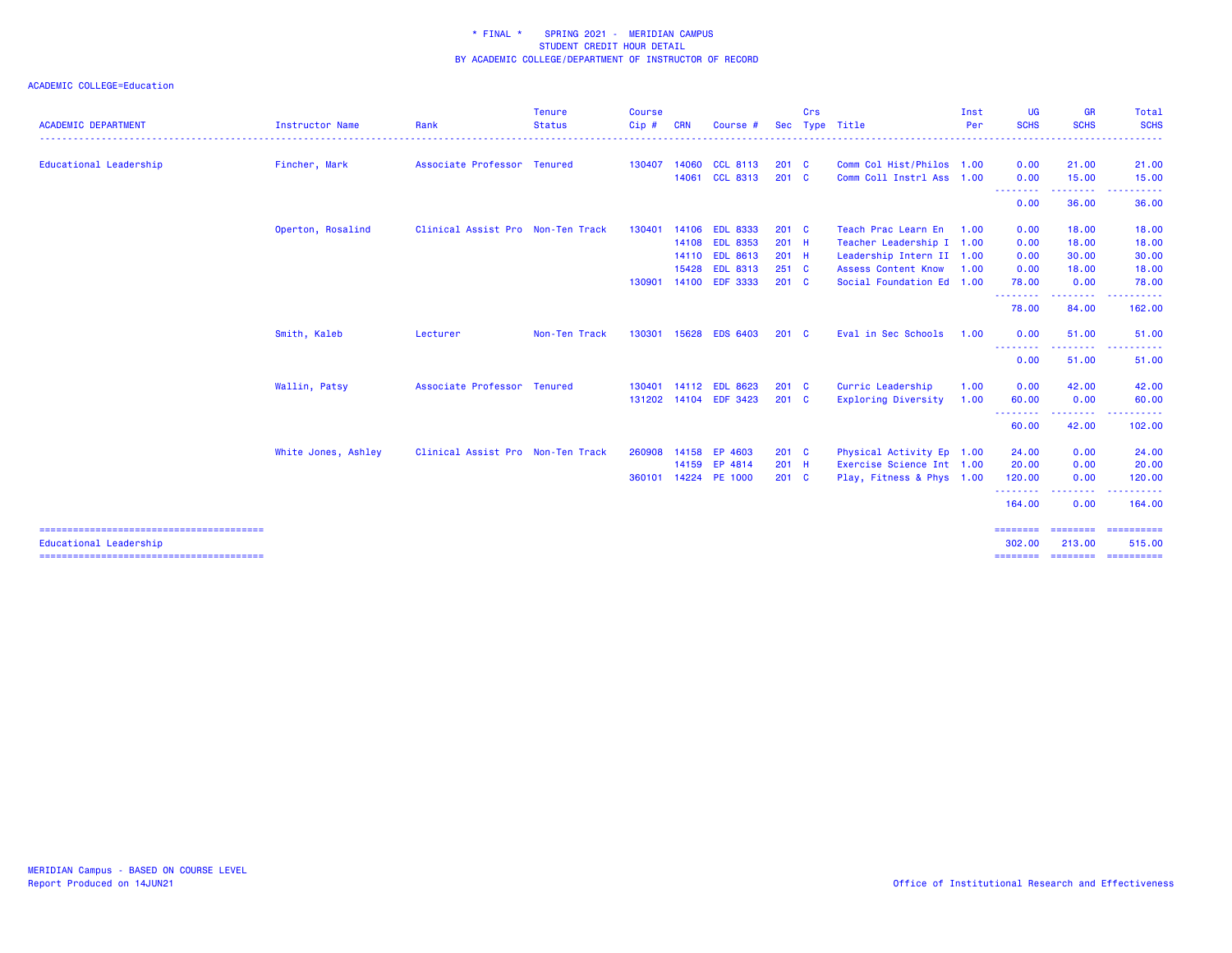|                            |                     |                                   | <b>Tenure</b> | <b>Course</b> |            |                 |               | Crs |                            | Inst | <b>UG</b>                        | <b>GR</b>             | Total                                                                                                                                                                                                                                                                                                                                                                                                                                                                                            |
|----------------------------|---------------------|-----------------------------------|---------------|---------------|------------|-----------------|---------------|-----|----------------------------|------|----------------------------------|-----------------------|--------------------------------------------------------------------------------------------------------------------------------------------------------------------------------------------------------------------------------------------------------------------------------------------------------------------------------------------------------------------------------------------------------------------------------------------------------------------------------------------------|
| <b>ACADEMIC DEPARTMENT</b> | Instructor Name     | Rank                              | <b>Status</b> | Cip#          | <b>CRN</b> | Course #        | <b>Sec</b>    |     | Type Title                 | Per  | <b>SCHS</b>                      | <b>SCHS</b>           | <b>SCHS</b>                                                                                                                                                                                                                                                                                                                                                                                                                                                                                      |
| Educational Leadership     | Fincher, Mark       | Associate Professor Tenured       |               | 130407        |            | 14060 CCL 8113  | $201$ C       |     | Comm Col Hist/Philos 1.00  |      | 0.00                             | 21.00                 | 21.00                                                                                                                                                                                                                                                                                                                                                                                                                                                                                            |
|                            |                     |                                   |               |               | 14061      | <b>CCL 8313</b> | $201 \quad C$ |     | Comm Coll Instrl Ass 1.00  |      | 0.00                             | 15.00                 | 15.00                                                                                                                                                                                                                                                                                                                                                                                                                                                                                            |
|                            |                     |                                   |               |               |            |                 |               |     |                            |      | --------<br>0.00                 | 36.00                 | 36.00                                                                                                                                                                                                                                                                                                                                                                                                                                                                                            |
|                            | Operton, Rosalind   | Clinical Assist Pro Non-Ten Track |               | 130401        |            | 14106 EDL 8333  | $201$ C       |     | Teach Prac Learn En 1.00   |      | 0.00                             | 18.00                 | 18.00                                                                                                                                                                                                                                                                                                                                                                                                                                                                                            |
|                            |                     |                                   |               |               |            | 14108 EDL 8353  | $201$ H       |     | Teacher Leadership I 1.00  |      | 0.00                             | 18.00                 | 18.00                                                                                                                                                                                                                                                                                                                                                                                                                                                                                            |
|                            |                     |                                   |               |               |            | 14110 EDL 8613  | 201 H         |     | Leadership Intern II 1.00  |      | 0.00                             | 30.00                 | 30.00                                                                                                                                                                                                                                                                                                                                                                                                                                                                                            |
|                            |                     |                                   |               |               | 15428      | <b>EDL 8313</b> | $251$ C       |     | <b>Assess Content Know</b> | 1.00 | 0.00                             | 18.00                 | 18.00                                                                                                                                                                                                                                                                                                                                                                                                                                                                                            |
|                            |                     |                                   |               | 130901        |            | 14100 EDF 3333  | $201 \quad C$ |     | Social Foundation Ed 1.00  |      | 78.00<br>. <u>.</u>              | 0.00<br>.             | 78.00                                                                                                                                                                                                                                                                                                                                                                                                                                                                                            |
|                            |                     |                                   |               |               |            |                 |               |     |                            |      | 78.00                            | 84.00                 | 162.00                                                                                                                                                                                                                                                                                                                                                                                                                                                                                           |
|                            | Smith, Kaleb        | Lecturer                          | Non-Ten Track | 130301        |            | 15628 EDS 6403  | $201 \quad C$ |     | Eval in Sec Schools        | 1.00 | 0.00                             | 51.00                 | 51.00                                                                                                                                                                                                                                                                                                                                                                                                                                                                                            |
|                            |                     |                                   |               |               |            |                 |               |     |                            |      | --------<br>0.00                 | . <b>.</b> .<br>51.00 | 51.00                                                                                                                                                                                                                                                                                                                                                                                                                                                                                            |
|                            | Wallin, Patsy       | Associate Professor Tenured       |               | 130401        |            | 14112 EDL 8623  | $201 \quad C$ |     | Curric Leadership          | 1.00 | 0.00                             | 42.00                 | 42.00                                                                                                                                                                                                                                                                                                                                                                                                                                                                                            |
|                            |                     |                                   |               | 131202        |            | 14104 EDF 3423  | 201 C         |     | Exploring Diversity        | 1.00 | 60.00<br><u> - - - - - - - -</u> | 0.00                  | 60.00                                                                                                                                                                                                                                                                                                                                                                                                                                                                                            |
|                            |                     |                                   |               |               |            |                 |               |     |                            |      | 60.00                            | 42.00                 | 102.00                                                                                                                                                                                                                                                                                                                                                                                                                                                                                           |
|                            | White Jones, Ashley | Clinical Assist Pro Non-Ten Track |               | 260908        |            | 14158 EP 4603   | $201$ C       |     | Physical Activity Ep 1.00  |      | 24.00                            | 0.00                  | 24.00                                                                                                                                                                                                                                                                                                                                                                                                                                                                                            |
|                            |                     |                                   |               |               |            | 14159 EP 4814   | $201$ H       |     | Exercise Science Int 1.00  |      | 20.00                            | 0.00                  | 20.00                                                                                                                                                                                                                                                                                                                                                                                                                                                                                            |
|                            |                     |                                   |               | 360101        |            | 14224 PE 1000   | $201$ C       |     | Play, Fitness & Phys 1.00  |      | 120.00<br><u>.</u>               | 0.00<br>. <b>.</b>    | 120.00                                                                                                                                                                                                                                                                                                                                                                                                                                                                                           |
|                            |                     |                                   |               |               |            |                 |               |     |                            |      | 164.00                           | 0.00                  | 164.00                                                                                                                                                                                                                                                                                                                                                                                                                                                                                           |
| Educational Leadership     |                     |                                   |               |               |            |                 |               |     |                            |      | --------<br>302.00               | -----<br>213.00       | $\begin{array}{cccccccccc} \multicolumn{2}{c}{} & \multicolumn{2}{c}{} & \multicolumn{2}{c}{} & \multicolumn{2}{c}{} & \multicolumn{2}{c}{} & \multicolumn{2}{c}{} & \multicolumn{2}{c}{} & \multicolumn{2}{c}{} & \multicolumn{2}{c}{} & \multicolumn{2}{c}{} & \multicolumn{2}{c}{} & \multicolumn{2}{c}{} & \multicolumn{2}{c}{} & \multicolumn{2}{c}{} & \multicolumn{2}{c}{} & \multicolumn{2}{c}{} & \multicolumn{2}{c}{} & \multicolumn{2}{c}{} & \multicolumn{2}{c}{} & \mult$<br>515.00 |
|                            |                     |                                   |               |               |            |                 |               |     |                            |      | ========                         | ========              | ==========                                                                                                                                                                                                                                                                                                                                                                                                                                                                                       |
|                            |                     |                                   |               |               |            |                 |               |     |                            |      |                                  |                       |                                                                                                                                                                                                                                                                                                                                                                                                                                                                                                  |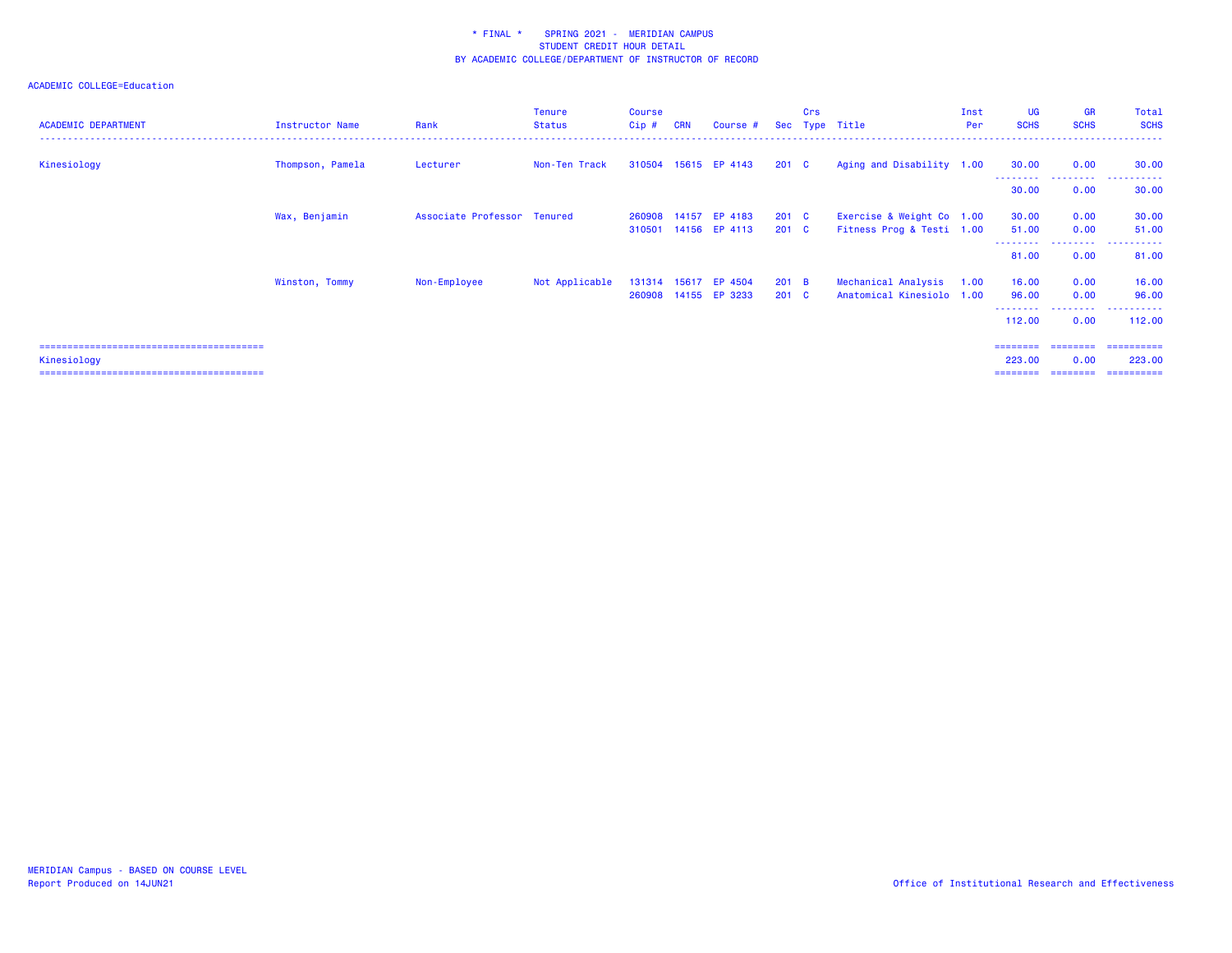### ACADEMIC COLLEGE=Education

| <b>ACADEMIC DEPARTMENT</b> | Instructor Name  | Rank                        | <b>Tenure</b><br><b>Status</b> | <b>Course</b><br>$Cip$ # | <b>CRN</b> | Course #             |               | Crs | Sec Type Title            | Inst<br>Per | UG<br><b>SCHS</b>   | <b>GR</b><br><b>SCHS</b> | Total<br><b>SCHS</b>      |
|----------------------------|------------------|-----------------------------|--------------------------------|--------------------------|------------|----------------------|---------------|-----|---------------------------|-------------|---------------------|--------------------------|---------------------------|
| Kinesiology                | Thompson, Pamela | Lecturer                    | Non-Ten Track                  |                          |            | 310504 15615 EP 4143 | $201 \quad C$ |     | Aging and Disability 1.00 |             | 30.00               | 0.00                     | 30.00                     |
|                            |                  |                             |                                |                          |            |                      |               |     |                           |             | 30.00               | 0.00                     | 30.00                     |
|                            | Wax, Benjamin    | Associate Professor Tenured |                                |                          |            | 260908 14157 EP 4183 | 201 C         |     | Exercise & Weight Co 1.00 |             | 30.00               | 0.00                     | 30.00                     |
|                            |                  |                             |                                | 310501                   |            | 14156 EP 4113        | 201 C         |     | Fitness Prog & Testi 1.00 |             | 51.00<br>--------   | 0.00<br>.                | 51.00<br>. <b>.</b><br>.  |
|                            |                  |                             |                                |                          |            |                      |               |     |                           |             | 81.00               | 0.00                     | 81.00                     |
|                            | Winston, Tommy   | Non-Employee                | Not Applicable                 | 131314                   | 15617      | EP 4504              | 201 B         |     | Mechanical Analysis       | 1.00        | 16.00               | 0.00                     | 16.00                     |
|                            |                  |                             |                                |                          |            | 260908 14155 EP 3233 | $201 \quad C$ |     | Anatomical Kinesiolo 1.00 |             | 96.00               | 0.00                     | 96.00                     |
|                            |                  |                             |                                |                          |            |                      |               |     |                           |             | ---------<br>112.00 | .<br>0.00                | -------<br>----<br>112.00 |
|                            |                  |                             |                                |                          |            |                      |               |     |                           |             | ========            | ========                 | ==========                |
| Kinesiology                |                  |                             |                                |                          |            |                      |               |     |                           |             | 223.00              | 0.00                     | 223.00                    |

======================================== ======== ======== ==========